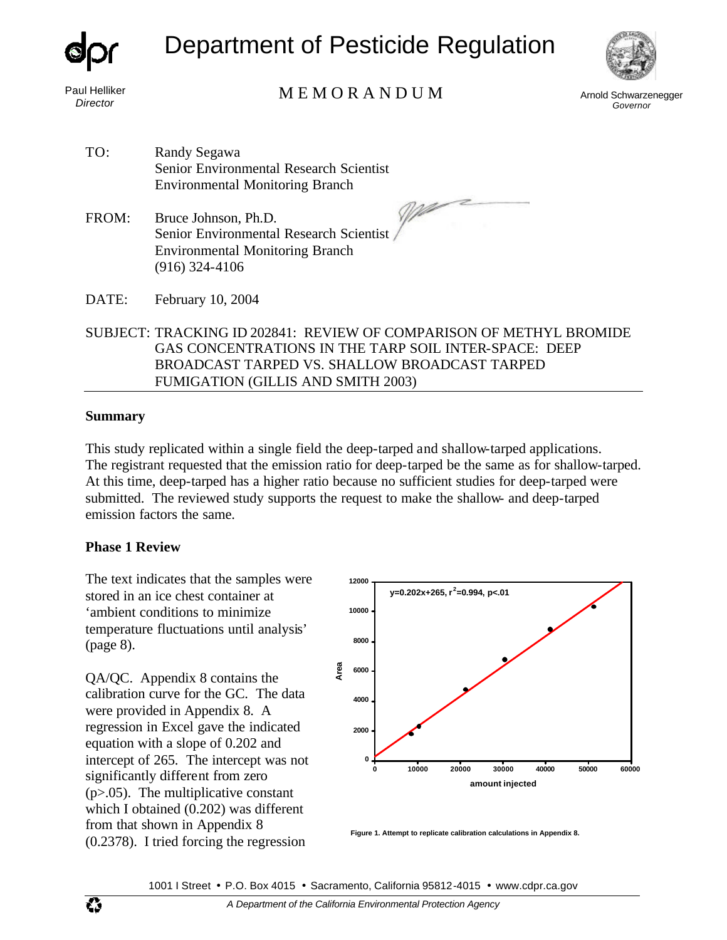

# Department of Pesticide Regulation



Paul Helliker

## *Director* Arnold Schwarzenegger M E M O R A N D U M

 $\mathbb{Z}$ 

*Governor* 

TO: Randy Segawa Senior Environmental Research Scientist Environmental Monitoring Branch

FROM: Bruce Johnson, Ph.D. Senior Environmental Research Scientist Environmental Monitoring Branch (916) 324-4106

DATE: February 10, 2004

SUBJECT: TRACKING ID 202841: REVIEW OF COMPARISON OF METHYL BROMIDE GAS CONCENTRATIONS IN THE TARP SOIL INTER-SPACE: DEEP BROADCAST TARPED VS. SHALLOW BROADCAST TARPED FUMIGATION (GILLIS AND SMITH 2003)

#### **Summary**

This study replicated within a single field the deep-tarped and shallow-tarped applications. The registrant requested that the emission ratio for deep-tarped be the same as for shallow-tarped. At this time, deep-tarped has a higher ratio because no sufficient studies for deep-tarped were submitted. The reviewed study supports the request to make the shallow- and deep-tarped emission factors the same.

#### **Phase 1 Review**

The text indicates that the samples were stored in an ice chest container at 'ambient conditions to minimize temperature fluctuations until analysis' (page 8).

QA/QC. Appendix 8 contains the calibration curve for the GC. The data were provided in Appendix 8. A regression in Excel gave the indicated equation with a slope of 0.202 and intercept of 265. The intercept was not significantly different from zero  $(p>0.05)$ . The multiplicative constant which I obtained (0.202) was different from that shown in Appendix 8 (0.2378). I tried forcing the regression **Figure 1. Attempt to replicate calibration calculations in Appendix 8.** 



1001 I Street • P.O. Box 4015 • Sacramento, California 95812-4015 • www.cdpr.ca.gov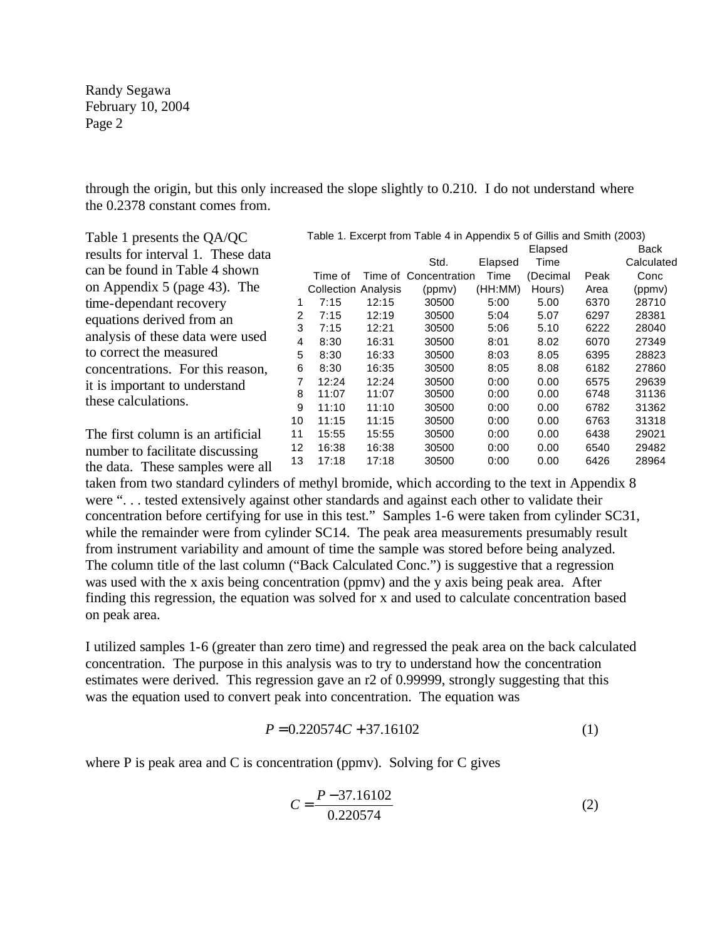through the origin, but this only increased the slope slightly to 0.210. I do not understand where the 0.2378 constant comes from.

| Table 1 presents the QA/QC         |    |                            |       | Table 1. Excerpt from Table 4 in Appendix 5 of Gillis and Smith (2003) |         |          |      |            |
|------------------------------------|----|----------------------------|-------|------------------------------------------------------------------------|---------|----------|------|------------|
| results for interval 1. These data |    |                            |       |                                                                        |         | Elapsed  |      | Back       |
|                                    |    |                            |       | Std.                                                                   | Elapsed | Time     |      | Calculated |
| can be found in Table 4 shown      |    | Time of                    |       | Time of Concentration                                                  | Time    | (Decimal | Peak | Conc       |
| on Appendix 5 (page 43). The       |    | <b>Collection Analysis</b> |       | (ppmv)                                                                 | (HH:MM) | Hours)   | Area | (ppmy)     |
| time-dependant recovery            |    | 7:15                       | 12:15 | 30500                                                                  | 5:00    | 5.00     | 6370 | 28710      |
| equations derived from an          | 2  | 7:15                       | 12:19 | 30500                                                                  | 5:04    | 5.07     | 6297 | 28381      |
|                                    | 3  | 7:15                       | 12:21 | 30500                                                                  | 5:06    | 5.10     | 6222 | 28040      |
| analysis of these data were used   | 4  | 8:30                       | 16:31 | 30500                                                                  | 8:01    | 8.02     | 6070 | 27349      |
| to correct the measured            | 5  | 8:30                       | 16:33 | 30500                                                                  | 8:03    | 8.05     | 6395 | 28823      |
| concentrations. For this reason,   | 6  | 8:30                       | 16:35 | 30500                                                                  | 8:05    | 8.08     | 6182 | 27860      |
| it is important to understand      |    | 12:24                      | 12:24 | 30500                                                                  | 0:00    | 0.00     | 6575 | 29639      |
| these calculations.                | 8  | 11:07                      | 11:07 | 30500                                                                  | 0:00    | 0.00     | 6748 | 31136      |
|                                    | 9  | 11:10                      | 11:10 | 30500                                                                  | 0:00    | 0.00     | 6782 | 31362      |
|                                    | 10 | 11:15                      | 11:15 | 30500                                                                  | 0:00    | 0.00     | 6763 | 31318      |
| The first column is an artificial  | 11 | 15:55                      | 15:55 | 30500                                                                  | 0:00    | 0.00     | 6438 | 29021      |
| number to facilitate discussing    | 12 | 16:38                      | 16:38 | 30500                                                                  | 0:00    | 0.00     | 6540 | 29482      |
| the data. These samples were all   | 13 | 17:18                      | 17:18 | 30500                                                                  | 0:00    | 0.00     | 6426 | 28964      |

taken from two standard cylinders of methyl bromide, which according to the text in Appendix 8 were ". . . tested extensively against other standards and against each other to validate their concentration before certifying for use in this test." Samples 1-6 were taken from cylinder SC31, while the remainder were from cylinder SC14. The peak area measurements presumably result from instrument variability and amount of time the sample was stored before being analyzed. The column title of the last column ("Back Calculated Conc.") is suggestive that a regression was used with the x axis being concentration (ppmv) and the y axis being peak area. After finding this regression, the equation was solved for x and used to calculate concentration based on peak area.

I utilized samples 1-6 (greater than zero time) and regressed the peak area on the back calculated concentration. The purpose in this analysis was to try to understand how the concentration estimates were derived. This regression gave an r2 of 0.99999, strongly suggesting that this was the equation used to convert peak into concentration. The equation was

$$
P = 0.220574C + 37.16102\tag{1}
$$

where  $P$  is peak area and  $C$  is concentration (ppmv). Solving for  $C$  gives

$$
C = \frac{P - 37.16102}{0.220574}
$$
 (2)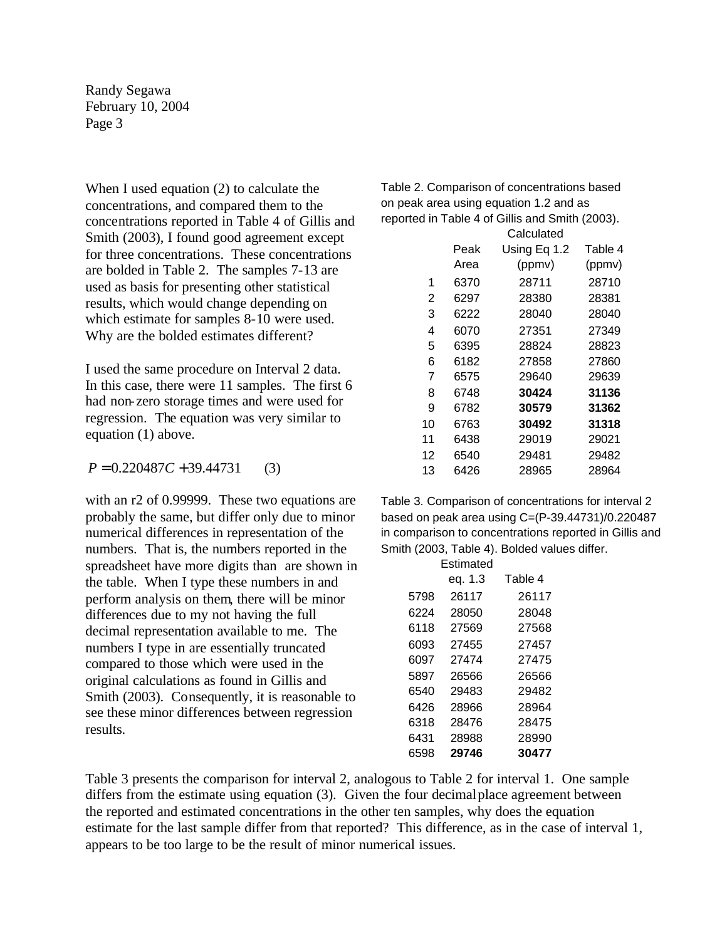When I used equation (2) to calculate the concentrations, and compared them to the concentrations reported in Table 4 of Gillis and Smith (2003), I found good agreement except for three concentrations. These concentrations are bolded in Table 2. The samples 7-13 are used as basis for presenting other statistical results, which would change depending on which estimate for samples 8-10 were used. Why are the bolded estimates different?

I used the same procedure on Interval 2 data. In this case, there were 11 samples. The first 6 had non-zero storage times and were used for regression. The equation was very similar to equation (1) above.

 $P = 0.220487C + 39.44731$  (3)

with an r2 of 0.99999. These two equations are probably the same, but differ only due to minor numerical differences in representation of the numbers. That is, the numbers reported in the spreadsheet have more digits than are shown in the table. When I type these numbers in and perform analysis on them, there will be minor differences due to my not having the full decimal representation available to me. The numbers I type in are essentially truncated compared to those which were used in the original calculations as found in Gillis and Smith (2003). Consequently, it is reasonable to see these minor differences between regression results.

Table 2. Comparison of concentrations based on peak area using equation 1.2 and as reported in Table 4 of Gillis and Smith (2003).

|    |      | Calculated   |         |
|----|------|--------------|---------|
|    | Peak | Using Eq 1.2 | Table 4 |
|    | Area | (ppmv)       | (ppmv)  |
| 1  | 6370 | 28711        | 28710   |
| 2  | 6297 | 28380        | 28381   |
| 3  | 6222 | 28040        | 28040   |
| 4  | 6070 | 27351        | 27349   |
| 5  | 6395 | 28824        | 28823   |
| 6  | 6182 | 27858        | 27860   |
| 7  | 6575 | 29640        | 29639   |
| 8  | 6748 | 30424        | 31136   |
| 9  | 6782 | 30579        | 31362   |
| 10 | 6763 | 30492        | 31318   |
| 11 | 6438 | 29019        | 29021   |
| 12 | 6540 | 29481        | 29482   |
| 13 | 6426 | 28965        | 28964   |
|    |      |              |         |

Table 3. Comparison of concentrations for interval 2 based on peak area using C=(P-39.44731)/0.220487 in comparison to concentrations reported in Gillis and Smith (2003, Table 4). Bolded values differ.

| Estimated |         |  |  |  |  |
|-----------|---------|--|--|--|--|
| eq. 1.3   | Table 4 |  |  |  |  |
| 26117     | 26117   |  |  |  |  |
| 28050     | 28048   |  |  |  |  |
| 27569     | 27568   |  |  |  |  |
| 27455     | 27457   |  |  |  |  |
| 27474     | 27475   |  |  |  |  |
| 26566     | 26566   |  |  |  |  |
| 29483     | 29482   |  |  |  |  |
| 28966     | 28964   |  |  |  |  |
| 28476     | 28475   |  |  |  |  |
| 28988     | 28990   |  |  |  |  |
| 29746     | 30477   |  |  |  |  |
|           |         |  |  |  |  |

Table 3 presents the comparison for interval 2, analogous to Table 2 for interval 1. One sample differs from the estimate using equation (3). Given the four decimal place agreement between the reported and estimated concentrations in the other ten samples, why does the equation estimate for the last sample differ from that reported? This difference, as in the case of interval 1, appears to be too large to be the result of minor numerical issues.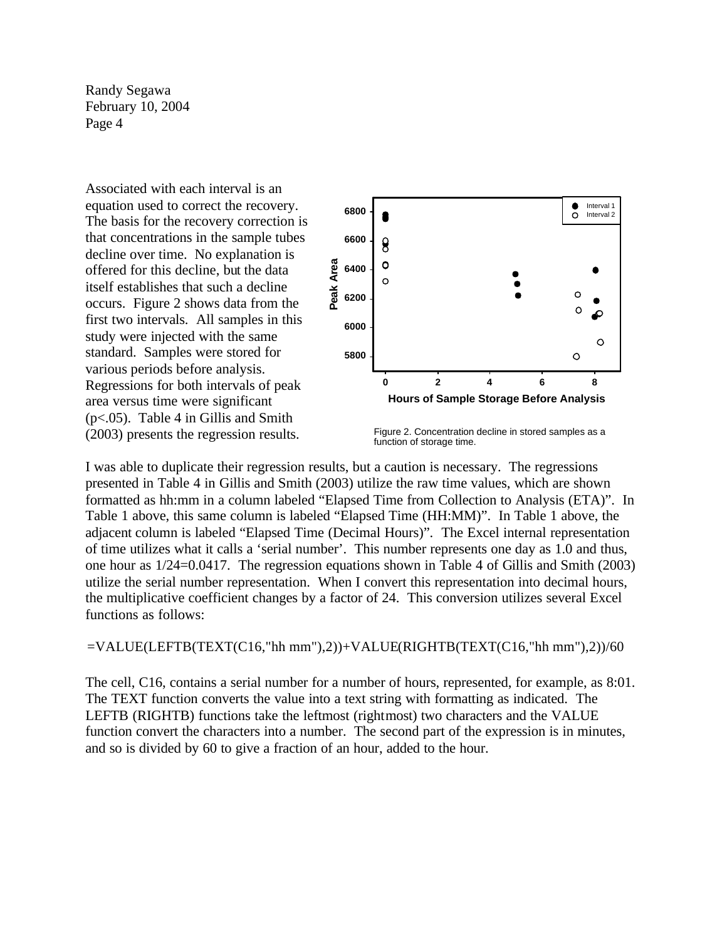Associated with each interval is an equation used to correct the recovery. The basis for the recovery correction is that concentrations in the sample tubes decline over time. No explanation is offered for this decline, but the data itself establishes that such a decline occurs. Figure 2 shows data from the first two intervals. All samples in this study were injected with the same standard. Samples were stored for various periods before analysis. Regressions for both intervals of peak area versus time were significant (p<.05). Table 4 in Gillis and Smith



(2003) presents the regression results. Figure 2. Concentration decline in stored samples as a function of storage time.

I was able to duplicate their regression results, but a caution is necessary. The regressions presented in Table 4 in Gillis and Smith (2003) utilize the raw time values, which are shown formatted as hh:mm in a column labeled "Elapsed Time from Collection to Analysis (ETA)". In Table 1 above, this same column is labeled "Elapsed Time (HH:MM)". In Table 1 above, the adjacent column is labeled "Elapsed Time (Decimal Hours)". The Excel internal representation of time utilizes what it calls a 'serial number'. This number represents one day as 1.0 and thus, one hour as 1/24=0.0417. The regression equations shown in Table 4 of Gillis and Smith (2003) utilize the serial number representation. When I convert this representation into decimal hours, the multiplicative coefficient changes by a factor of 24. This conversion utilizes several Excel functions as follows:

 $=$ VALUE(LEFTB(TEXT(C16,"hh mm"),2))+VALUE(RIGHTB(TEXT(C16,"hh mm"),2))/60

The cell, C16, contains a serial number for a number of hours, represented, for example, as 8:01. The TEXT function converts the value into a text string with formatting as indicated. The LEFTB (RIGHTB) functions take the leftmost (rightmost) two characters and the VALUE function convert the characters into a number. The second part of the expression is in minutes, and so is divided by 60 to give a fraction of an hour, added to the hour.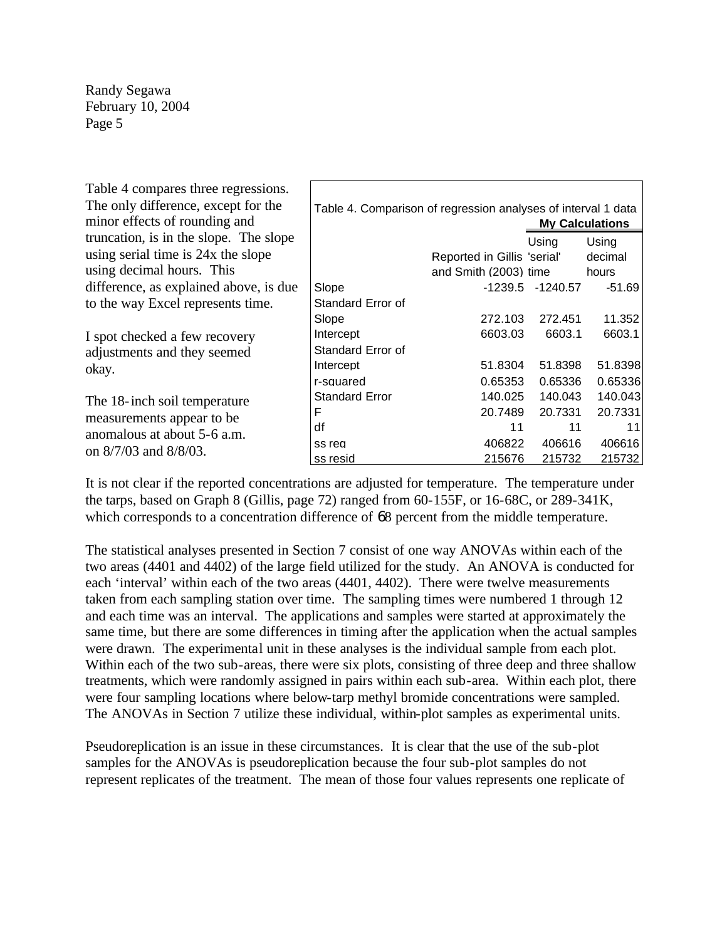| Table 4 compares three regressions.<br>The only difference, except for the |                                                                                         |                             |                  |          |  |  |  |
|----------------------------------------------------------------------------|-----------------------------------------------------------------------------------------|-----------------------------|------------------|----------|--|--|--|
| minor effects of rounding and                                              | Table 4. Comparison of regression analyses of interval 1 data<br><b>My Calculations</b> |                             |                  |          |  |  |  |
| truncation, is in the slope. The slope                                     |                                                                                         |                             | Using            | Using    |  |  |  |
| using serial time is 24x the slope                                         |                                                                                         | Reported in Gillis 'serial' |                  | decimal  |  |  |  |
| using decimal hours. This                                                  |                                                                                         | and Smith (2003) time       |                  | hours    |  |  |  |
| difference, as explained above, is due                                     | Slope                                                                                   |                             | -1239.5 -1240.57 | $-51.69$ |  |  |  |
| to the way Excel represents time.                                          | Standard Error of                                                                       |                             |                  |          |  |  |  |
|                                                                            | Slope                                                                                   | 272.103                     | 272.451          | 11.352   |  |  |  |
| I spot checked a few recovery                                              | Intercept                                                                               | 6603.03                     | 6603.1           | 6603.1   |  |  |  |
| adjustments and they seemed                                                | Standard Error of                                                                       |                             |                  |          |  |  |  |
| okay.                                                                      | Intercept                                                                               | 51.8304                     | 51.8398          | 51.8398  |  |  |  |
|                                                                            | r-squared                                                                               | 0.65353                     | 0.65336          | 0.65336  |  |  |  |
| The 18-inch soil temperature                                               | <b>Standard Error</b>                                                                   | 140.025                     | 140.043          | 140.043  |  |  |  |
| measurements appear to be                                                  | F                                                                                       | 20.7489                     | 20.7331          | 20.7331  |  |  |  |
| anomalous at about 5-6 a.m.                                                | df                                                                                      | 11                          | 11               | 11       |  |  |  |
| on 8/7/03 and 8/8/03.                                                      | ss rea                                                                                  | 406822                      | 406616           | 406616   |  |  |  |
|                                                                            | ss resid                                                                                | 215676                      | 215732           | 215732   |  |  |  |

It is not clear if the reported concentrations are adjusted for temperature. The temperature under the tarps, based on Graph 8 (Gillis, page 72) ranged from 60-155F, or 16-68C, or 289-341K, which corresponds to a concentration difference of 68 percent from the middle temperature.

The statistical analyses presented in Section 7 consist of one way ANOVAs within each of the two areas (4401 and 4402) of the large field utilized for the study. An ANOVA is conducted for each 'interval' within each of the two areas (4401, 4402). There were twelve measurements taken from each sampling station over time. The sampling times were numbered 1 through 12 and each time was an interval. The applications and samples were started at approximately the same time, but there are some differences in timing after the application when the actual samples were drawn. The experimental unit in these analyses is the individual sample from each plot. Within each of the two sub-areas, there were six plots, consisting of three deep and three shallow treatments, which were randomly assigned in pairs within each sub-area. Within each plot, there were four sampling locations where below-tarp methyl bromide concentrations were sampled. The ANOVAs in Section 7 utilize these individual, within-plot samples as experimental units.

Pseudoreplication is an issue in these circumstances. It is clear that the use of the sub-plot samples for the ANOVAs is pseudoreplication because the four sub-plot samples do not represent replicates of the treatment. The mean of those four values represents one replicate of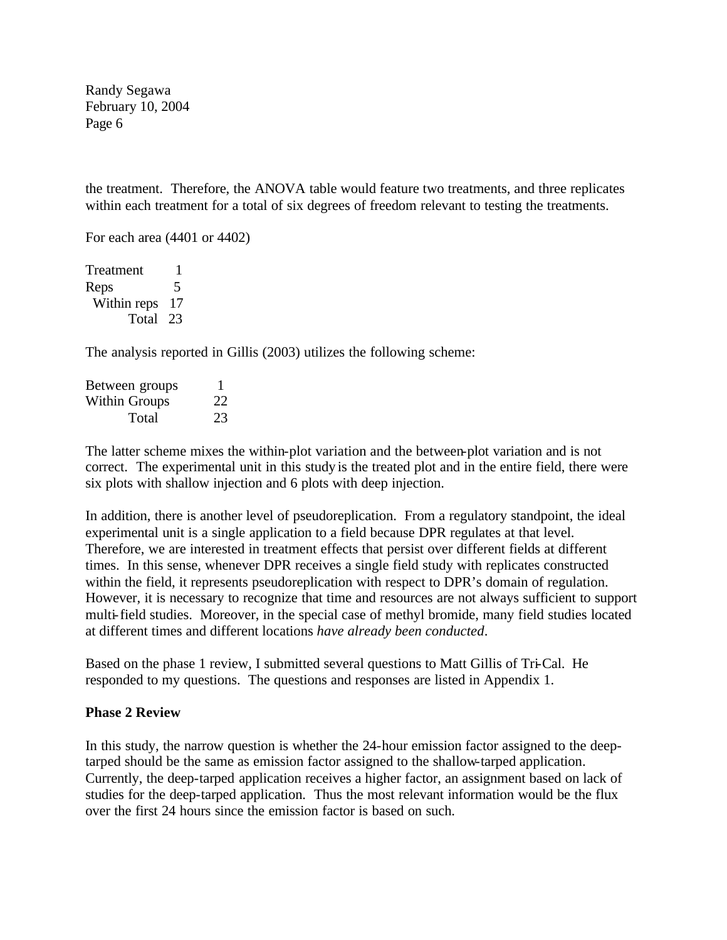the treatment. Therefore, the ANOVA table would feature two treatments, and three replicates within each treatment for a total of six degrees of freedom relevant to testing the treatments.

For each area (4401 or 4402)

Treatment 1 Reps 5 Within reps 17 Total 23

The analysis reported in Gillis (2003) utilizes the following scheme:

| Between groups |    |
|----------------|----|
| Within Groups  | 22 |
| Total          | 23 |

The latter scheme mixes the within-plot variation and the between-plot variation and is not correct. The experimental unit in this study is the treated plot and in the entire field, there were six plots with shallow injection and 6 plots with deep injection.

In addition, there is another level of pseudoreplication. From a regulatory standpoint, the ideal experimental unit is a single application to a field because DPR regulates at that level. Therefore, we are interested in treatment effects that persist over different fields at different times. In this sense, whenever DPR receives a single field study with replicates constructed within the field, it represents pseudoreplication with respect to DPR's domain of regulation. However, it is necessary to recognize that time and resources are not always sufficient to support multi-field studies. Moreover, in the special case of methyl bromide, many field studies located at different times and different locations *have already been conducted*.

Based on the phase 1 review, I submitted several questions to Matt Gillis of Tri-Cal. He responded to my questions. The questions and responses are listed in Appendix 1.

#### **Phase 2 Review**

In this study, the narrow question is whether the 24-hour emission factor assigned to the deeptarped should be the same as emission factor assigned to the shallow-tarped application. Currently, the deep-tarped application receives a higher factor, an assignment based on lack of studies for the deep-tarped application. Thus the most relevant information would be the flux over the first 24 hours since the emission factor is based on such.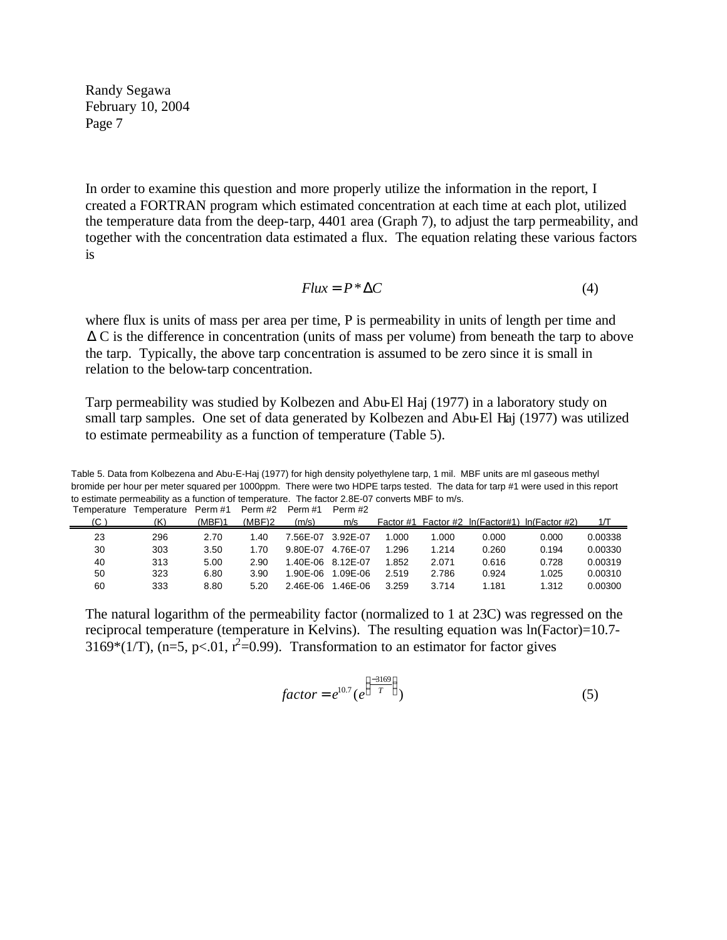In order to examine this question and more properly utilize the information in the report, I created a FORTRAN program which estimated concentration at each time at each plot, utilized the temperature data from the deep-tarp, 4401 area (Graph 7), to adjust the tarp permeability, and together with the concentration data estimated a flux. The equation relating these various factors is

$$
Flux = P^* \Delta C \tag{4}
$$

where flux is units of mass per area per time, P is permeability in units of length per time and  $\Delta C$  is the difference in concentration (units of mass per volume) from beneath the tarp to above the tarp. Typically, the above tarp concentration is assumed to be zero since it is small in relation to the below-tarp concentration.

Tarp permeability was studied by Kolbezen and Abu-El Haj (1977) in a laboratory study on small tarp samples. One set of data generated by Kolbezen and Abu-El Haj (1977) was utilized to estimate permeability as a function of temperature (Table 5).

Table 5. Data from Kolbezena and Abu-E-Haj (1977) for high density polyethylene tarp, 1 mil. MBF units are ml gaseous methyl bromide per hour per meter squared per 1000ppm. There were two HDPE tarps tested. The data for tarp #1 were used in this report to estimate permeability as a function of temperature. The factor 2.8E-07 converts MBF to m/s. Temperature Temperature Perm #1 Perm #2 Perm #1 Perm #2

| , ,,,,,,,,,,,,,,,,,,, |     |        |        |          |                   |           |       |       |                                      |         |
|-----------------------|-----|--------|--------|----------|-------------------|-----------|-------|-------|--------------------------------------|---------|
| (C,                   | (K) | (MBF)1 | (MBF)2 | (m/s)    | m/s               | Factor #1 |       |       | Factor #2 In(Factor#1) In(Factor #2) | 1/T     |
| 23                    | 296 | 2.70   | 1.40   | 7.56E-07 | 3.92E-07          | .000      | 1.000 | 0.000 | 0.000                                | 0.00338 |
| 30                    | 303 | 3.50   | 1.70   | 9.80E-07 | 4.76E-07          | 1.296     | 1.214 | 0.260 | 0.194                                | 0.00330 |
| 40                    | 313 | 5.00   | 2.90   |          | 1.40E-06 8.12E-07 | .852      | 2.071 | 0.616 | 0.728                                | 0.00319 |
| 50                    | 323 | 6.80   | 3.90   | 1.90E-06 | 1.09E-06          | 2.519     | 2.786 | 0.924 | 1.025                                | 0.00310 |
| 60                    | 333 | 8.80   | 5.20   | 2.46E-06 | .46E-06           | 3.259     | 3.714 | 1.181 | 1.312                                | 0.00300 |
|                       |     |        |        |          |                   |           |       |       |                                      |         |

The natural logarithm of the permeability factor (normalized to 1 at 23C) was regressed on the reciprocal temperature (temperature in Kelvins). The resulting equation was  $ln(Factor)=10.7-$ 3169\*(1/T), (n=5, p<.01,  $r^2$ =0.99). Transformation to an estimator for factor gives

$$
factor = e^{10.7} \left( e^{\left\{ \frac{-3169}{T} \right\}} \right)
$$
 (5)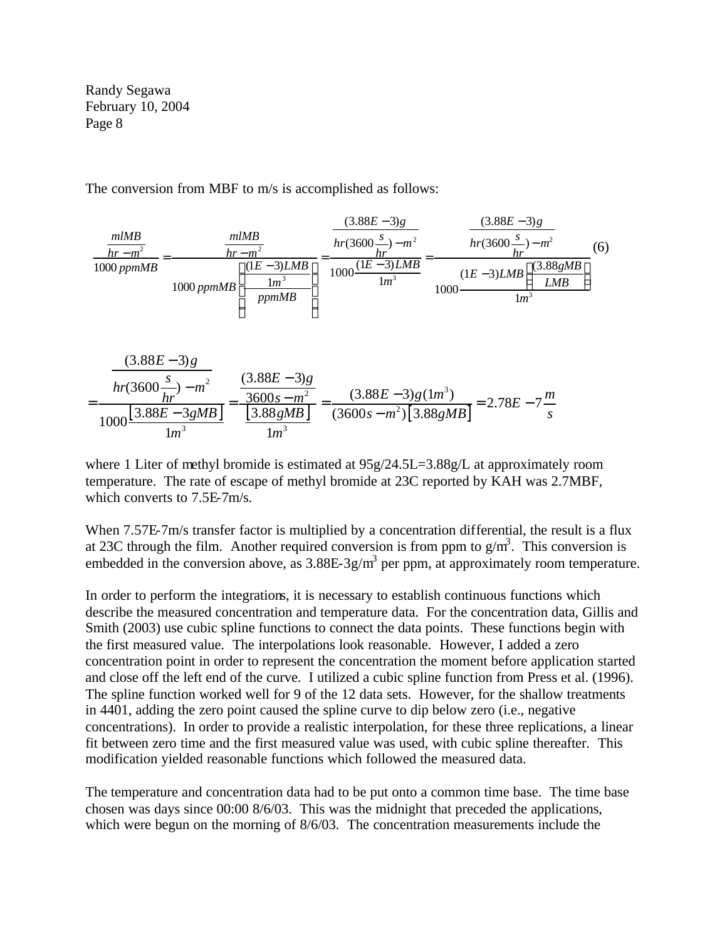The conversion from MBF to m/s is accomplished as follows:



$$
rac{(3.88E-3)g}{hr(3600\frac{s}{hr})-m^2} = \frac{(3.88E-3)g}{\frac{3600s-m^2}{1000}\left[\frac{3.88E-3.88E-3.88E-3.88E-3.88E-3.88E-3.88E-7\frac{m}{s}\right]} = 2.78E-7\frac{m}{s}
$$

where 1 Liter of methyl bromide is estimated at  $95g/24.5L=3.88g/L$  at approximately room temperature. The rate of escape of methyl bromide at 23C reported by KAH was 2.7MBF, which converts to 7.5E-7m/s.

When 7.57E-7m/s transfer factor is multiplied by a concentration differential, the result is a flux at 23C through the film. Another required conversion is from ppm to  $g/m<sup>3</sup>$ . This conversion is embedded in the conversion above, as  $3.88E-3g/m<sup>3</sup>$  per ppm, at approximately room temperature.

In order to perform the integrations, it is necessary to establish continuous functions which describe the measured concentration and temperature data. For the concentration data, Gillis and Smith (2003) use cubic spline functions to connect the data points. These functions begin with the first measured value. The interpolations look reasonable. However, I added a zero concentration point in order to represent the concentration the moment before application started and close off the left end of the curve. I utilized a cubic spline function from Press et al. (1996). The spline function worked well for 9 of the 12 data sets. However, for the shallow treatments in 4401, adding the zero point caused the spline curve to dip below zero (i.e., negative concentrations). In order to provide a realistic interpolation, for these three replications, a linear fit between zero time and the first measured value was used, with cubic spline thereafter. This modification yielded reasonable functions which followed the measured data.

The temperature and concentration data had to be put onto a common time base. The time base chosen was days since 00:00 8/6/03. This was the midnight that preceded the applications, which were begun on the morning of 8/6/03. The concentration measurements include the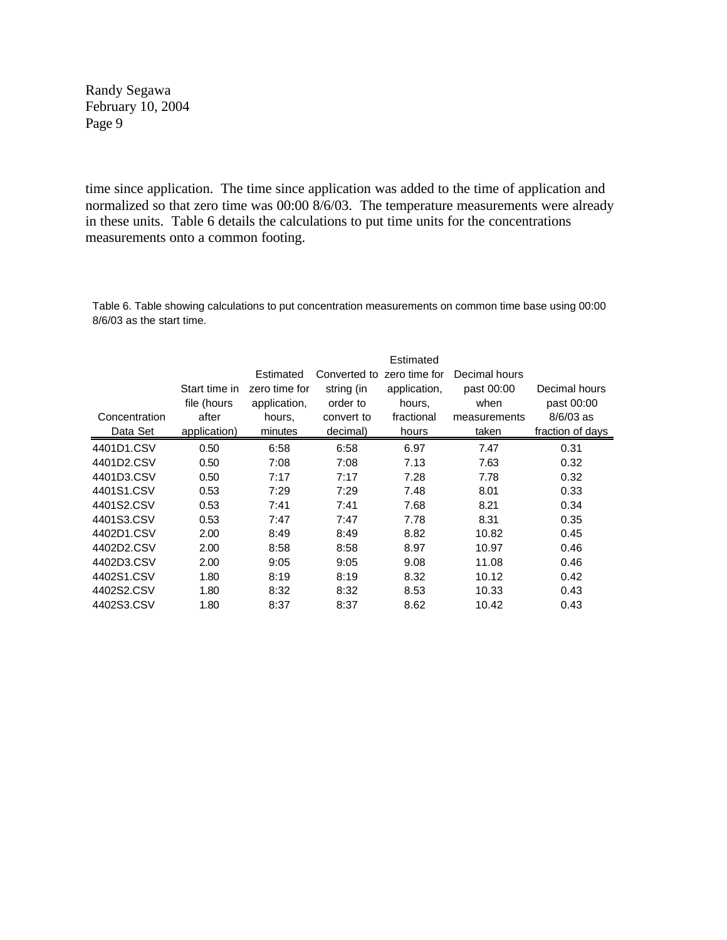time since application. The time since application was added to the time of application and normalized so that zero time was 00:00 8/6/03. The temperature measurements were already in these units. Table 6 details the calculations to put time units for the concentrations measurements onto a common footing.

Table 6. Table showing calculations to put concentration measurements on common time base using 00:00 8/6/03 as the start time.

|               | Estimated     |               |              |               |               |                  |  |
|---------------|---------------|---------------|--------------|---------------|---------------|------------------|--|
|               |               | Estimated     | Converted to | zero time for | Decimal hours |                  |  |
|               | Start time in | zero time for | string (in   | application,  | past 00:00    | Decimal hours    |  |
|               | file (hours   | application,  | order to     | hours.        | when          | past 00:00       |  |
| Concentration | after         | hours.        | convert to   | fractional    | measurements  | $8/6/03$ as      |  |
| Data Set      | application)  | minutes       | decimal)     | hours         | taken         | fraction of days |  |
| 4401D1.CSV    | 0.50          | 6:58          | 6:58         | 6.97          | 7.47          | 0.31             |  |
| 4401D2.CSV    | 0.50          | 7:08          | 7:08         | 7.13          | 7.63          | 0.32             |  |
| 4401D3.CSV    | 0.50          | 7:17          | 7:17         | 7.28          | 7.78          | 0.32             |  |
| 4401S1.CSV    | 0.53          | 7:29          | 7:29         | 7.48          | 8.01          | 0.33             |  |
| 4401S2.CSV    | 0.53          | 7:41          | 7:41         | 7.68          | 8.21          | 0.34             |  |
| 4401S3.CSV    | 0.53          | 7:47          | 7:47         | 7.78          | 8.31          | 0.35             |  |
| 4402D1.CSV    | 2.00          | 8:49          | 8:49         | 8.82          | 10.82         | 0.45             |  |
| 4402D2.CSV    | 2.00          | 8:58          | 8:58         | 8.97          | 10.97         | 0.46             |  |
| 4402D3.CSV    | 2.00          | 9:05          | 9:05         | 9.08          | 11.08         | 0.46             |  |
| 4402S1.CSV    | 1.80          | 8:19          | 8:19         | 8.32          | 10.12         | 0.42             |  |
| 4402S2.CSV    | 1.80          | 8:32          | 8:32         | 8.53          | 10.33         | 0.43             |  |
| 4402S3.CSV    | 1.80          | 8:37          | 8:37         | 8.62          | 10.42         | 0.43             |  |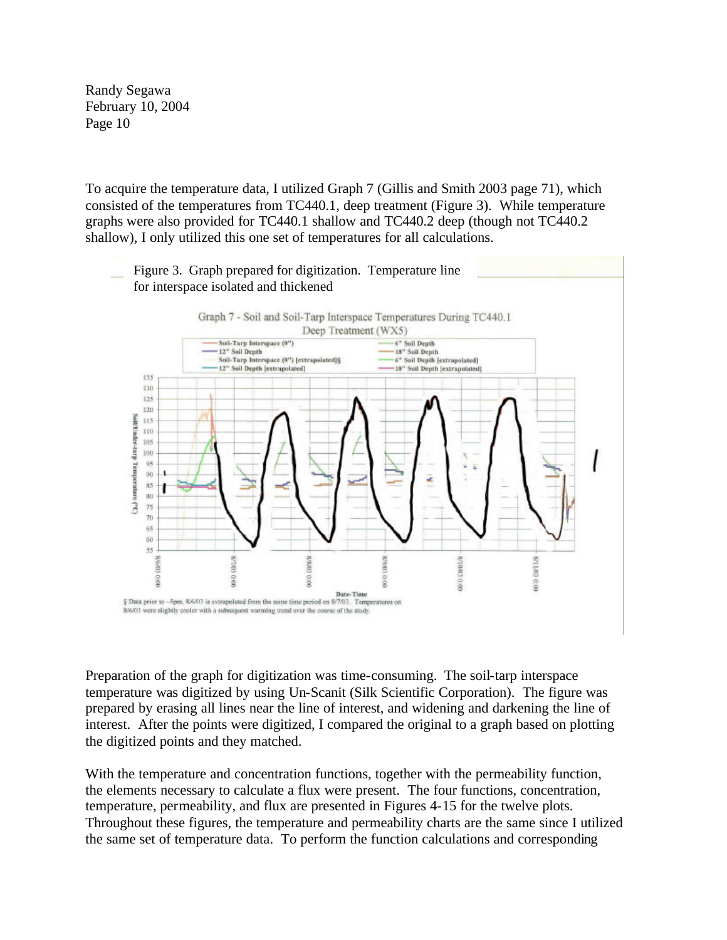To acquire the temperature data, I utilized Graph 7 (Gillis and Smith 2003 page 71), which consisted of the temperatures from TC440.1, deep treatment (Figure 3). While temperature graphs were also provided for TC440.1 shallow and TC440.2 deep (though not TC440.2 shallow), I only utilized this one set of temperatures for all calculations.



Preparation of the graph for digitization was time-consuming. The soil-tarp interspace temperature was digitized by using Un-Scanit (Silk Scientific Corporation). The figure was prepared by erasing all lines near the line of interest, and widening and darkening the line of interest. After the points were digitized, I compared the original to a graph based on plotting the digitized points and they matched.

With the temperature and concentration functions, together with the permeability function, the elements necessary to calculate a flux were present. The four functions, concentration, temperature, permeability, and flux are presented in Figures 4-15 for the twelve plots. Throughout these figures, the temperature and permeability charts are the same since I utilized the same set of temperature data. To perform the function calculations and corresponding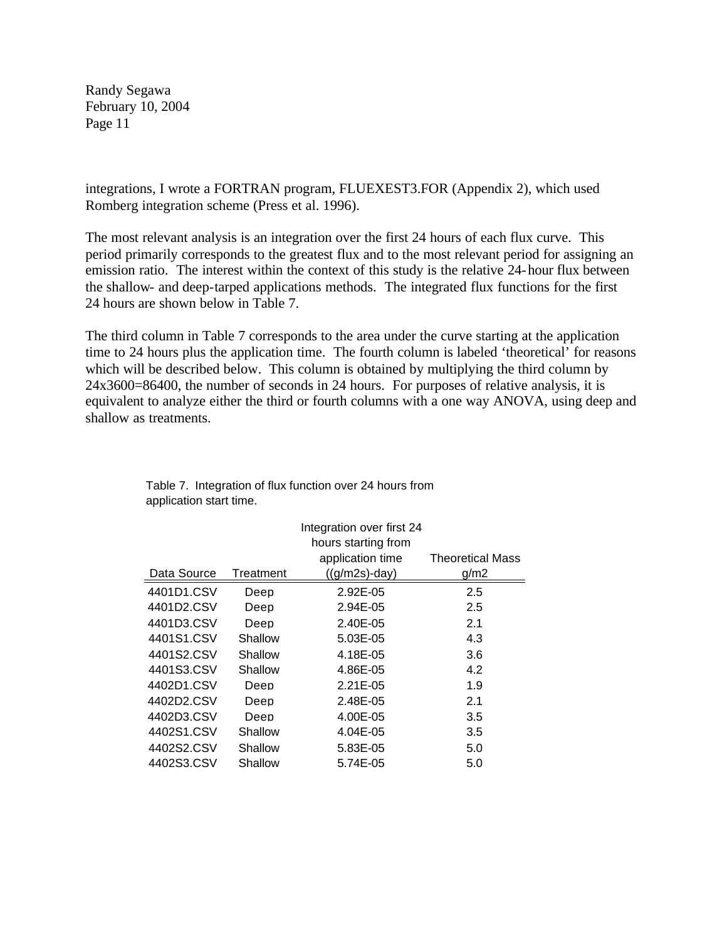integrations, I wrote a FORTRAN program, FLUEXEST3.FOR (Appendix 2), which used Romberg integration scheme (Press et al. 1996).

The most relevant analysis is an integration over the first 24 hours of each flux curve. This period primarily corresponds to the greatest flux and to the most relevant period for assigning an emission ratio. The interest within the context of this study is the relative 24-hour flux between the shallow- and deep-tarped applications methods. The integrated flux functions for the first 24 hours are shown below in Table 7.

The third column in Table 7 corresponds to the area under the curve starting at the application time to 24 hours plus the application time. The fourth column is labeled 'theoretical' for reasons which will be described below. This column is obtained by multiplying the third column by 24x3600=86400, the number of seconds in 24 hours. For purposes of relative analysis, it is equivalent to analyze either the third or fourth columns with a one way ANOVA, using deep and shallow as treatments.

|             | Integration over first 24 |                     |                         |  |  |  |  |
|-------------|---------------------------|---------------------|-------------------------|--|--|--|--|
|             |                           | hours starting from |                         |  |  |  |  |
|             |                           | application time    | <b>Theoretical Mass</b> |  |  |  |  |
| Data Source | Treatment                 | $((g/m2s)$ -day)    | g/m2                    |  |  |  |  |
| 4401D1.CSV  | Deep                      | 2.92E-05            | 2.5                     |  |  |  |  |
| 4401D2.CSV  | Deep                      | 2.94E-05            | 2.5                     |  |  |  |  |
| 4401D3.CSV  | Deep                      | 2.40E-05            | 2.1                     |  |  |  |  |
| 4401S1.CSV  | Shallow                   | 5.03E-05            | 4.3                     |  |  |  |  |
| 4401S2.CSV  | Shallow                   | 4.18E-05            | 3.6                     |  |  |  |  |
| 4401S3.CSV  | Shallow                   | 4.86E-05            | 4.2                     |  |  |  |  |
| 4402D1.CSV  | Deep                      | $2.21E-0.5$         | 1.9                     |  |  |  |  |
| 4402D2.CSV  | Deep                      | 2.48E-05            | 2.1                     |  |  |  |  |
| 4402D3.CSV  | Deep                      | 4.00E-05            | 3.5                     |  |  |  |  |
| 4402S1.CSV  | Shallow                   | 4.04E-05            | 3.5                     |  |  |  |  |
| 4402S2.CSV  | Shallow                   | 5.83E-05            | 5.0                     |  |  |  |  |
| 4402S3.CSV  | Shallow                   | 5.74E-05            | 5.0                     |  |  |  |  |

| Table 7. Integration of flux function over 24 hours from |
|----------------------------------------------------------|
| application start time.                                  |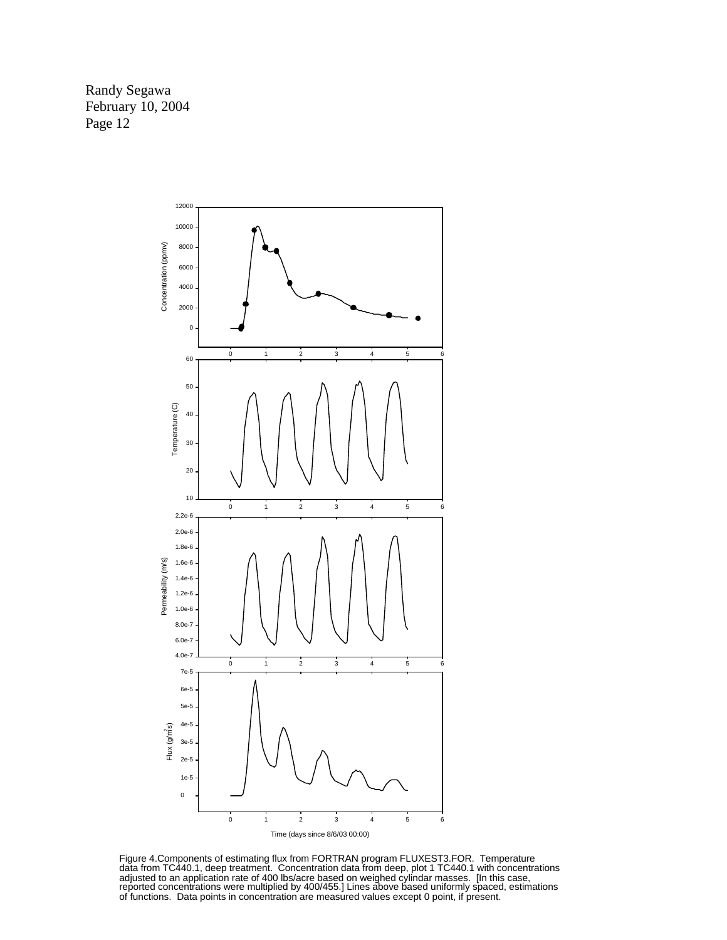

Figure 4.Components of estimating flux from FORTRAN program FLUXEST3.FOR. Temperature data from TC440.1, deep treatment. Concentration data from deep, plot 1 TC440.1 with concentrations adjusted to an application rate of 400 lbs/acre based on weighed cylindar masses. [In this case, reported concentrations were multiplied by 400/455.] Lines above based uniformly spaced, estimations of functions. Data points in concentration are measured values except 0 point, if present.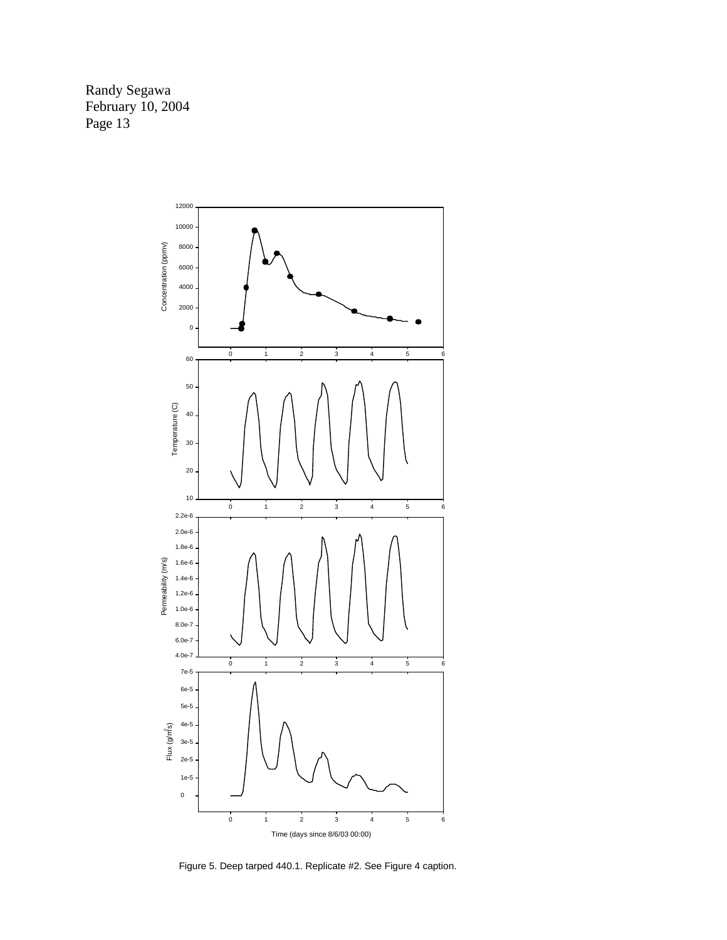<span id="page-12-0"></span>

Figure 5. Deep tarped 440.1. Replicate #2. See Figure 4 caption.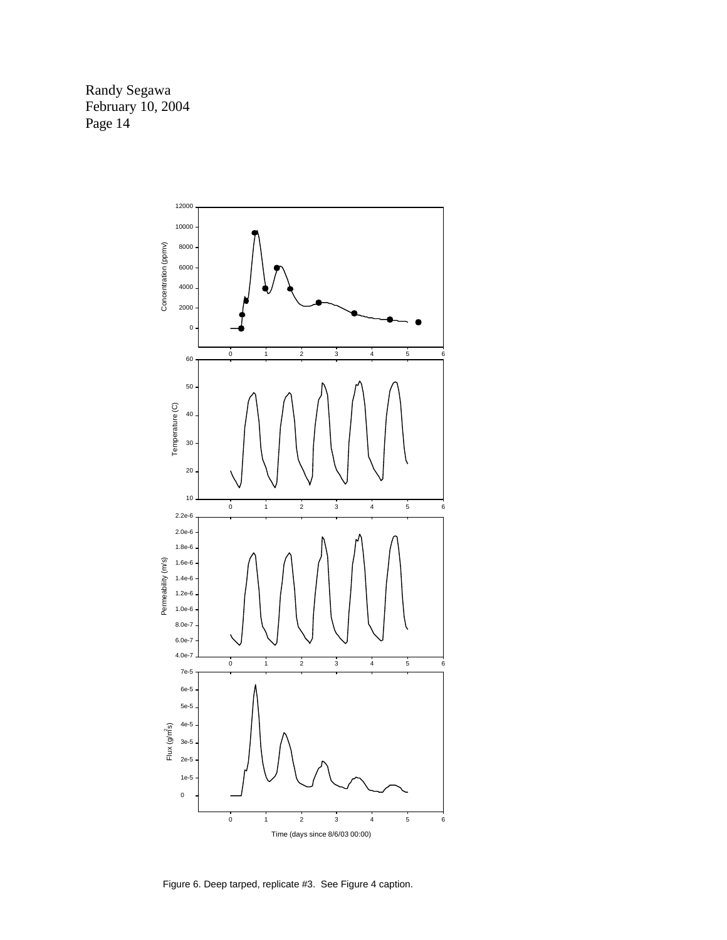

Figure 6. Deep tarped, replicate #3. See Figure 4 caption.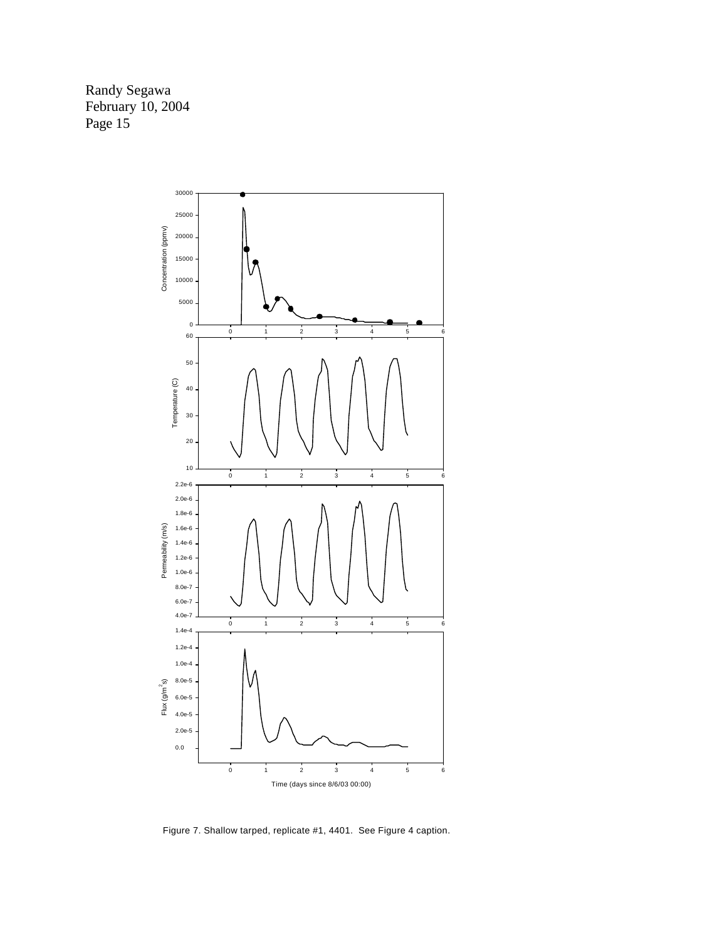Randy Segawa February 10, 2004 Page 15<sup>-</sup>



Figure 7. Shallow tarped, replicate #1, 4401. See Figure 4 caption.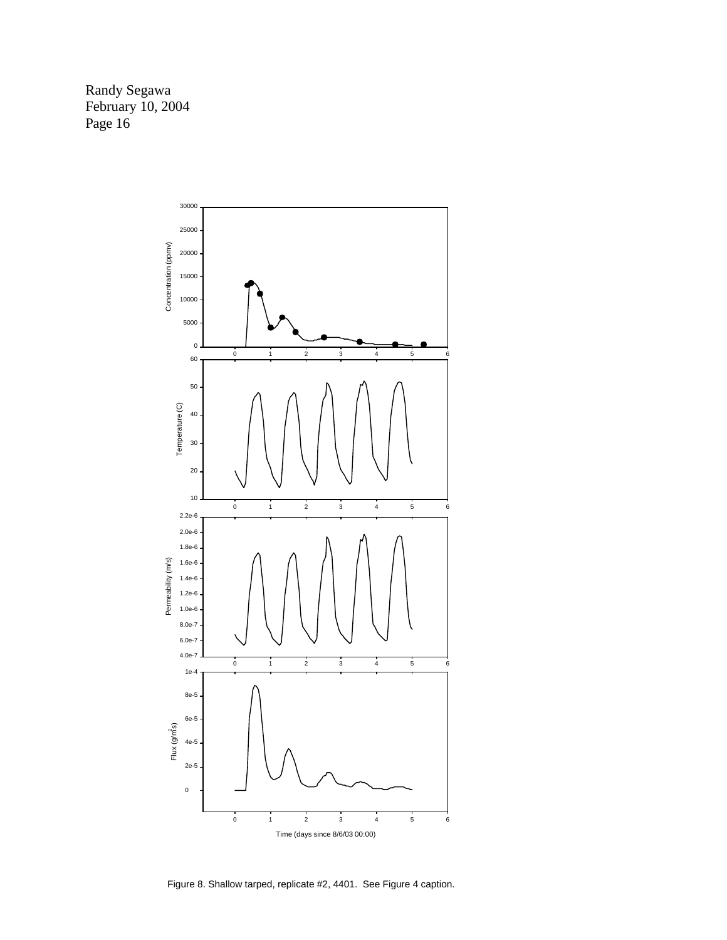

Figure 8. Shallow tarped, replicate #2, 4401. See Figure 4 caption.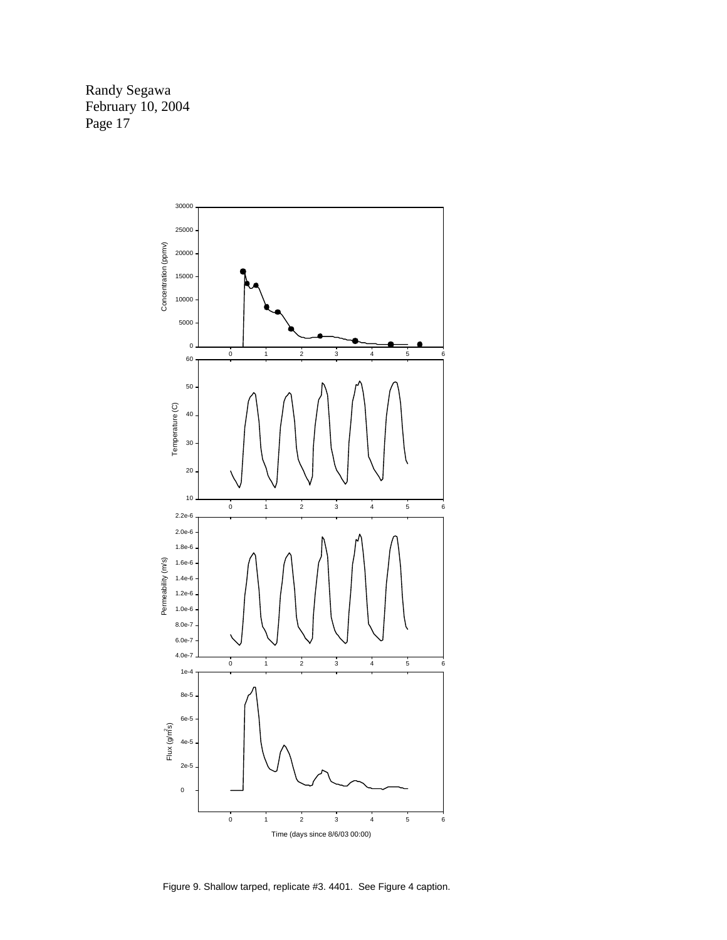

Figure 9. Shallow tarped, replicate #3. 4401. See Figure 4 caption.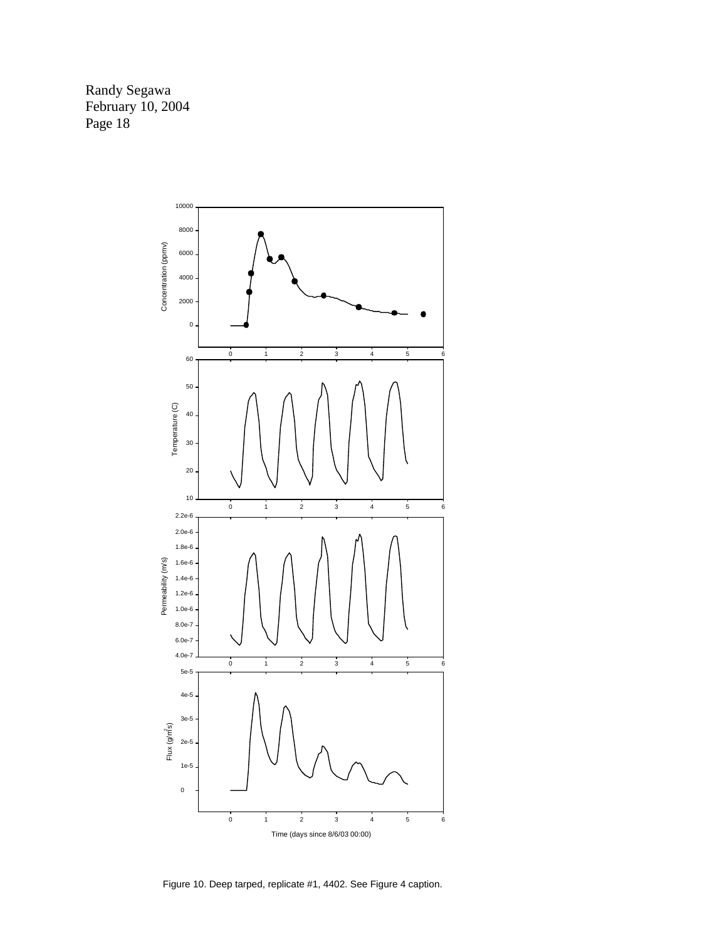

Figure 10. Deep tarped, replicate #1, 4402. See Figure 4 caption.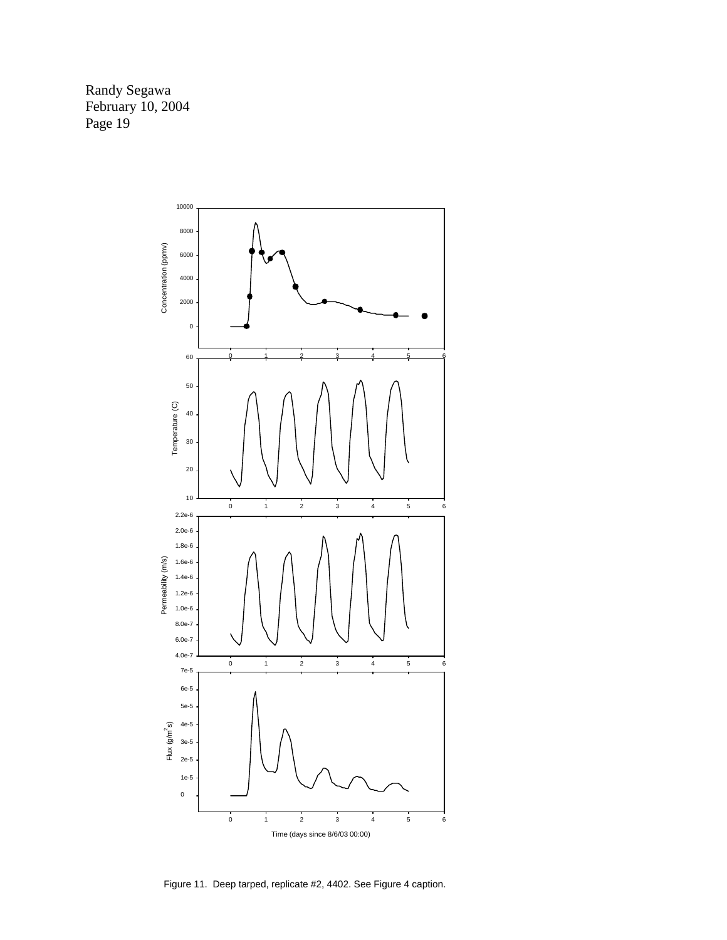

Figure 11. Deep tarped, replicate #2, 4402. See Figure 4 caption.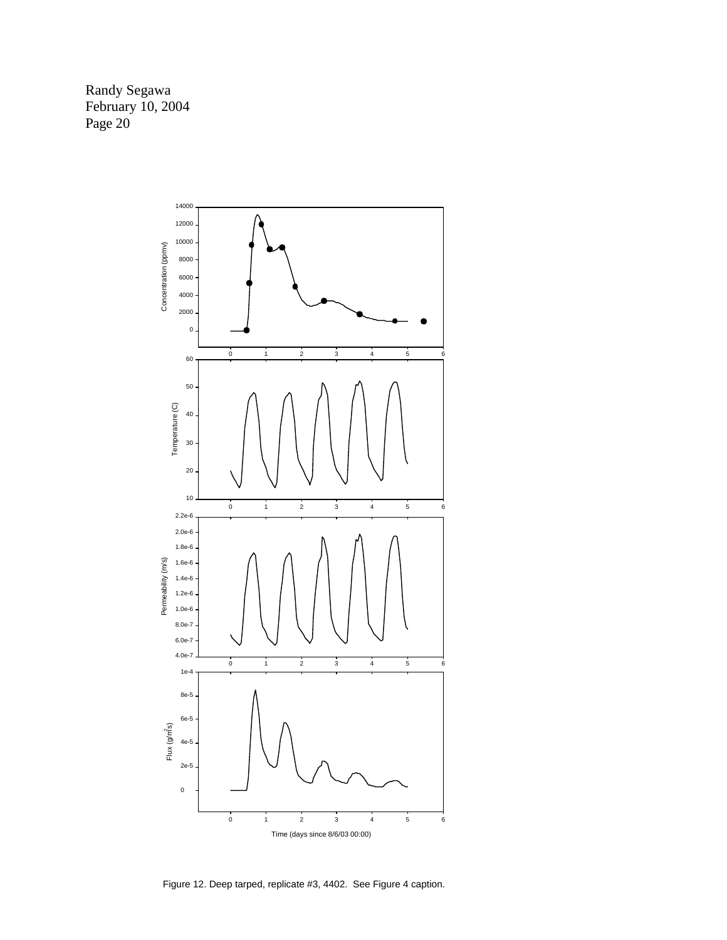

Figure 12. Deep tarped, replicate #3, 4402. See Figure 4 caption.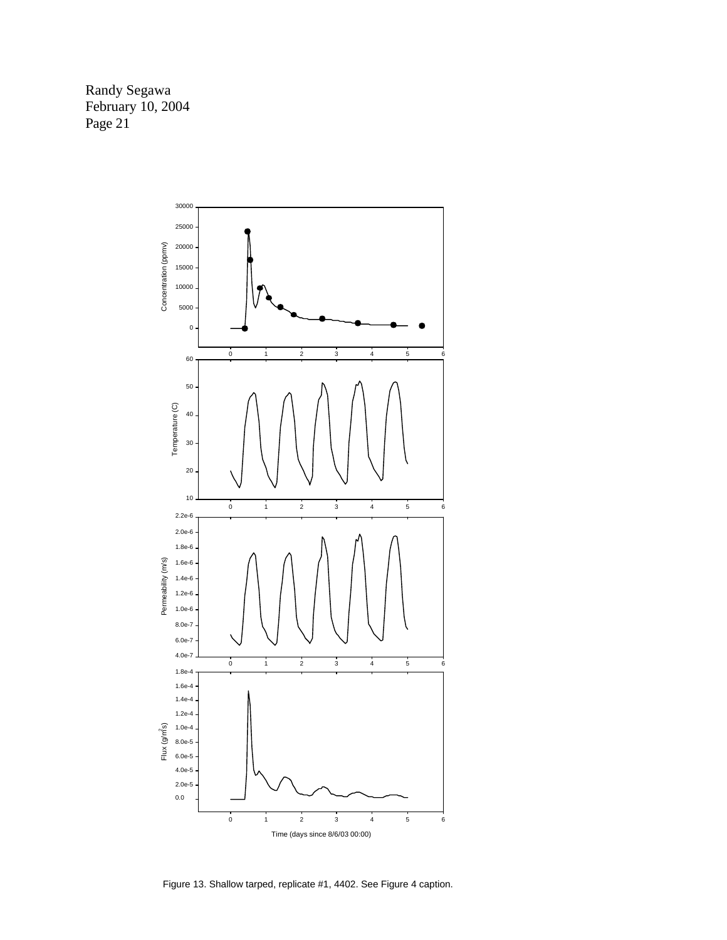

Figure 13. Shallow tarped, replicate #1, 4402. See Figure 4 caption.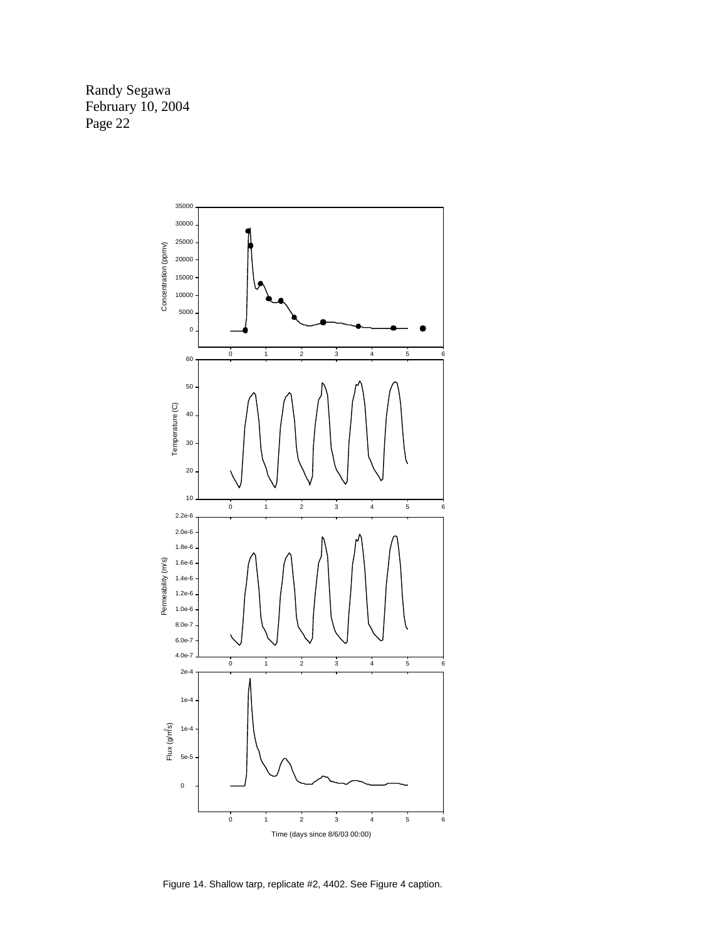

Figure 14. Shallow tarp, replicate #2, 4402. See Figure 4 caption.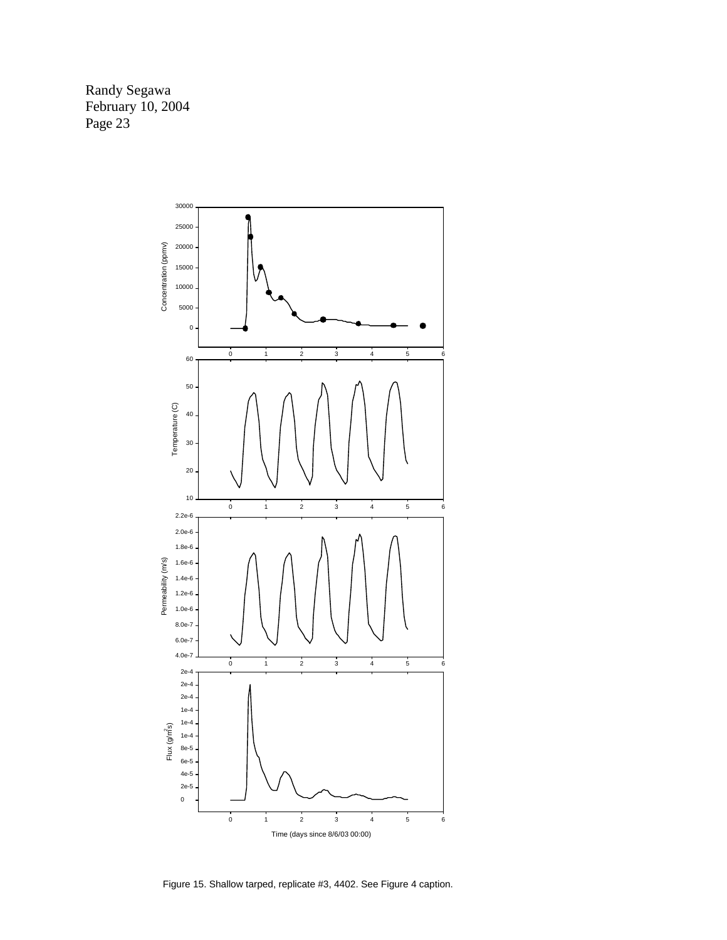

Figure 15. Shallow tarped, replicate #3, 4402. See Figure 4 caption.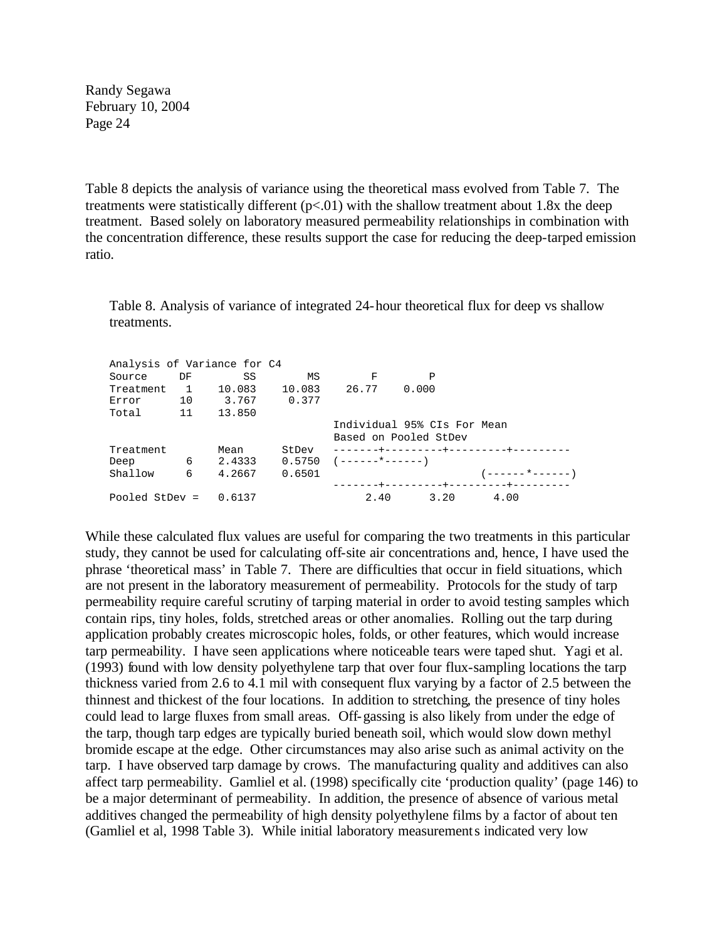Table 8 depicts the analysis of variance using the theoretical mass evolved from Table 7. The treatments were statistically different  $(p<0.01)$  with the shallow treatment about 1.8x the deep treatment. Based solely on laboratory measured permeability relationships in combination with the concentration difference, these results support the case for reducing the deep-tarped emission ratio.

Table 8. Analysis of variance of integrated 24-hour theoretical flux for deep vs shallow treatments.

| Individual 95% CIs For Mean          |
|--------------------------------------|
| Based on Pooled StDev                |
| --------+---------+---------+------  |
|                                      |
| ' - - - - - - * - - - - - - )        |
| -------+---------+---------+-------- |
| 4.00                                 |
|                                      |

While these calculated flux values are useful for comparing the two treatments in this particular study, they cannot be used for calculating off-site air concentrations and, hence, I have used the phrase 'theoretical mass' in Table 7. There are difficulties that occur in field situations, which are not present in the laboratory measurement of permeability. Protocols for the study of tarp permeability require careful scrutiny of tarping material in order to avoid testing samples which contain rips, tiny holes, folds, stretched areas or other anomalies. Rolling out the tarp during application probably creates microscopic holes, folds, or other features, which would increase tarp permeability. I have seen applications where noticeable tears were taped shut. Yagi et al. (1993) found with low density polyethylene tarp that over four flux-sampling locations the tarp thickness varied from 2.6 to 4.1 mil with consequent flux varying by a factor of 2.5 between the thinnest and thickest of the four locations. In addition to stretching, the presence of tiny holes could lead to large fluxes from small areas. Off-gassing is also likely from under the edge of the tarp, though tarp edges are typically buried beneath soil, which would slow down methyl bromide escape at the edge. Other circumstances may also arise such as animal activity on the tarp. I have observed tarp damage by crows. The manufacturing quality and additives can also affect tarp permeability. Gamliel et al. (1998) specifically cite 'production quality' (page 146) to be a major determinant of permeability. In addition, the presence of absence of various metal additives changed the permeability of high density polyethylene films by a factor of about ten (Gamliel et al, 1998 Table 3). While initial laboratory measurements indicated very low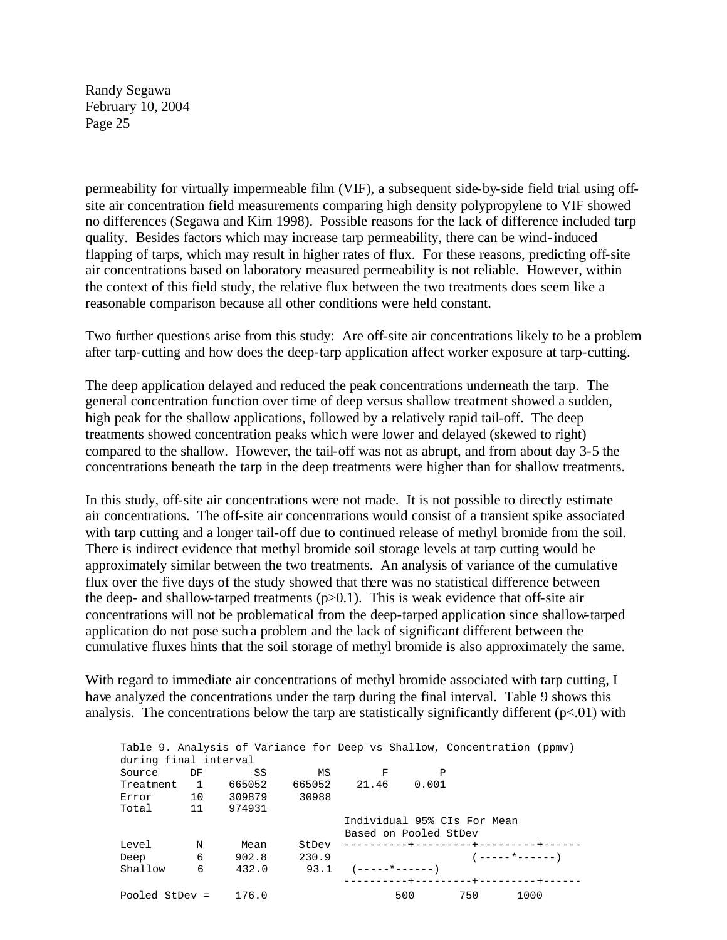permeability for virtually impermeable film (VIF), a subsequent side-by-side field trial using offsite air concentration field measurements comparing high density polypropylene to VIF showed no differences (Segawa and Kim 1998). Possible reasons for the lack of difference included tarp quality. Besides factors which may increase tarp permeability, there can be wind-induced flapping of tarps, which may result in higher rates of flux. For these reasons, predicting off-site air concentrations based on laboratory measured permeability is not reliable. However, within the context of this field study, the relative flux between the two treatments does seem like a reasonable comparison because all other conditions were held constant.

Two further questions arise from this study: Are off-site air concentrations likely to be a problem after tarp-cutting and how does the deep-tarp application affect worker exposure at tarp-cutting.

The deep application delayed and reduced the peak concentrations underneath the tarp. The general concentration function over time of deep versus shallow treatment showed a sudden, high peak for the shallow applications, followed by a relatively rapid tail-off. The deep treatments showed concentration peaks which were lower and delayed (skewed to right) compared to the shallow. However, the tail-off was not as abrupt, and from about day 3-5 the concentrations beneath the tarp in the deep treatments were higher than for shallow treatments.

In this study, off-site air concentrations were not made. It is not possible to directly estimate air concentrations. The off-site air concentrations would consist of a transient spike associated with tarp cutting and a longer tail-off due to continued release of methyl bromide from the soil. There is indirect evidence that methyl bromide soil storage levels at tarp cutting would be approximately similar between the two treatments. An analysis of variance of the cumulative flux over the five days of the study showed that there was no statistical difference between the deep- and shallow-tarped treatments  $(p>0.1)$ . This is weak evidence that off-site air concentrations will not be problematical from the deep-tarped application since shallow-tarped application do not pose such a problem and the lack of significant different between the cumulative fluxes hints that the soil storage of methyl bromide is also approximately the same.

With regard to immediate air concentrations of methyl bromide associated with tarp cutting, I have analyzed the concentrations under the tarp during the final interval. Table 9 shows this analysis. The concentrations below the tarp are statistically significantly different  $(p<0.01)$  with

|                        |    |                       |       |                             |              |     | Table 9. Analysis of Variance for Deep vs Shallow, Concentration (ppmv) |  |
|------------------------|----|-----------------------|-------|-----------------------------|--------------|-----|-------------------------------------------------------------------------|--|
| during final interval  |    |                       |       |                             |              |     |                                                                         |  |
| Source                 | DF | SS                    | MS    | - F                         | $\mathsf{P}$ |     |                                                                         |  |
| Treatment 1            |    | 665052                |       | 665052 21.46 0.001          |              |     |                                                                         |  |
|                        |    | Error 10 309879 30988 |       |                             |              |     |                                                                         |  |
| Total 11 974931        |    |                       |       |                             |              |     |                                                                         |  |
|                        |    |                       |       | Individual 95% CIs For Mean |              |     |                                                                         |  |
|                        |    |                       |       | Based on Pooled StDev       |              |     |                                                                         |  |
| Level N                |    | Mean                  |       |                             |              |     |                                                                         |  |
| Deep 6                 |    | 902.8                 | 230.9 |                             |              |     | $(---- + ----)$                                                         |  |
| Shallow                | 6  | 432.0                 |       | $93.1$ $(-----+-----)$      |              |     |                                                                         |  |
|                        |    |                       |       |                             |              |     |                                                                         |  |
| Pooled StDev = $176.0$ |    |                       |       |                             | 500 -        | 750 | 1000                                                                    |  |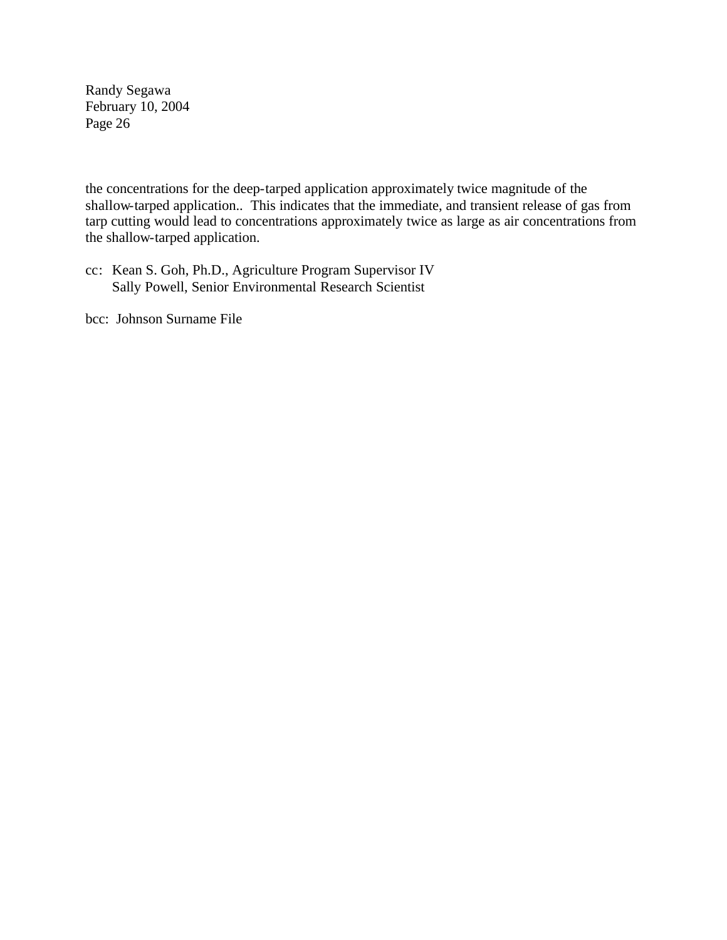the concentrations for the deep-tarped application approximately twice magnitude of the shallow-tarped application.. This indicates that the immediate, and transient release of gas from tarp cutting would lead to concentrations approximately twice as large as air concentrations from the shallow-tarped application.

cc: Kean S. Goh, Ph.D., Agriculture Program Supervisor IV Sally Powell, Senior Environmental Research Scientist

bcc: Johnson Surname File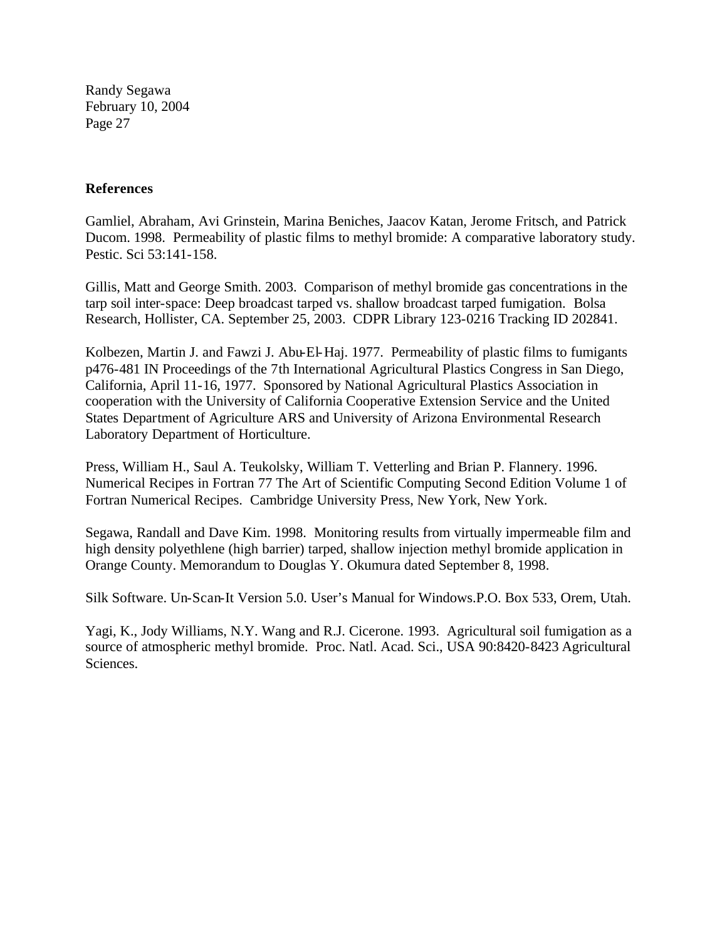#### **References**

Gamliel, Abraham, Avi Grinstein, Marina Beniches, Jaacov Katan, Jerome Fritsch, and Patrick Ducom. 1998. Permeability of plastic films to methyl bromide: A comparative laboratory study. Pestic. Sci 53:141-158.

Gillis, Matt and George Smith. 2003. Comparison of methyl bromide gas concentrations in the tarp soil inter-space: Deep broadcast tarped vs. shallow broadcast tarped fumigation. Bolsa Research, Hollister, CA. September 25, 2003. CDPR Library 123-0216 Tracking ID 202841.

Kolbezen, Martin J. and Fawzi J. Abu-El-Haj. 1977. Permeability of plastic films to fumigants p476-481 IN Proceedings of the 7th International Agricultural Plastics Congress in San Diego, California, April 11-16, 1977. Sponsored by National Agricultural Plastics Association in cooperation with the University of California Cooperative Extension Service and the United States Department of Agriculture ARS and University of Arizona Environmental Research Laboratory Department of Horticulture.

Press, William H., Saul A. Teukolsky, William T. Vetterling and Brian P. Flannery. 1996. Numerical Recipes in Fortran 77 The Art of Scientific Computing Second Edition Volume 1 of Fortran Numerical Recipes. Cambridge University Press, New York, New York.

Segawa, Randall and Dave Kim. 1998. Monitoring results from virtually impermeable film and high density polyethlene (high barrier) tarped, shallow injection methyl bromide application in Orange County. Memorandum to Douglas Y. Okumura dated September 8, 1998.

Silk Software. Un-Scan-It Version 5.0. User's Manual for Windows.P.O. Box 533, Orem, Utah.

Yagi, K., Jody Williams, N.Y. Wang and R.J. Cicerone. 1993. Agricultural soil fumigation as a source of atmospheric methyl bromide. Proc. Natl. Acad. Sci., USA 90:8420-8423 Agricultural Sciences.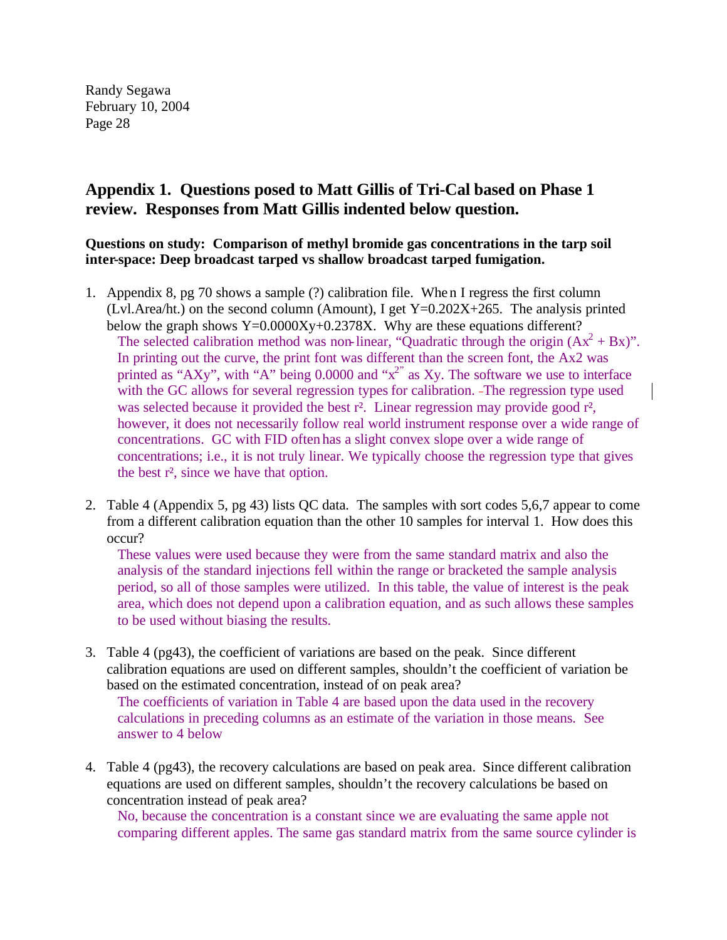### **Appendix 1. Questions posed to Matt Gillis of Tri-Cal based on Phase 1 review. Responses from Matt Gillis indented below question.**

**Questions on study: Comparison of methyl bromide gas concentrations in the tarp soil inter-space: Deep broadcast tarped vs shallow broadcast tarped fumigation.** 

- 1. Appendix 8, pg 70 shows a sample (?) calibration file. When I regress the first column (Lvl.Area/ht.) on the second column (Amount), I get  $Y=0.202X+265$ . The analysis printed below the graph shows Y=0.0000Xy+0.2378X. Why are these equations different? The selected calibration method was non-linear, "Quadratic through the origin  $(Ax^2 + Bx)$ ". In printing out the curve, the print font was different than the screen font, the Ax2 was printed as "AXy", with "A" being 0.0000 and " $x^2$ " as Xy. The software we use to interface with the GC allows for several regression types for calibration. -The regression type used was selected because it provided the best r<sup>2</sup>. Linear regression may provide good r<sup>2</sup>, however, it does not necessarily follow real world instrument response over a wide range of concentrations. GC with FID often has a slight convex slope over a wide range of concentrations; i.e., it is not truly linear. We typically choose the regression type that gives the best r², since we have that option.
- 2. Table 4 (Appendix 5, pg 43) lists QC data. The samples with sort codes 5,6,7 appear to come from a different calibration equation than the other 10 samples for interval 1. How does this occur?

These values were used because they were from the same standard matrix and also the analysis of the standard injections fell within the range or bracketed the sample analysis period, so all of those samples were utilized. In this table, the value of interest is the peak area, which does not depend upon a calibration equation, and as such allows these samples to be used without biasing the results.

3. Table 4 (pg43), the coefficient of variations are based on the peak. Since different calibration equations are used on different samples, shouldn't the coefficient of variation be based on the estimated concentration, instead of on peak area?

The coefficients of variation in Table 4 are based upon the data used in the recovery calculations in preceding columns as an estimate of the variation in those means. See answer to 4 below

4. Table 4 (pg43), the recovery calculations are based on peak area. Since different calibration equations are used on different samples, shouldn't the recovery calculations be based on concentration instead of peak area?

No, because the concentration is a constant since we are evaluating the same apple not comparing different apples. The same gas standard matrix from the same source cylinder is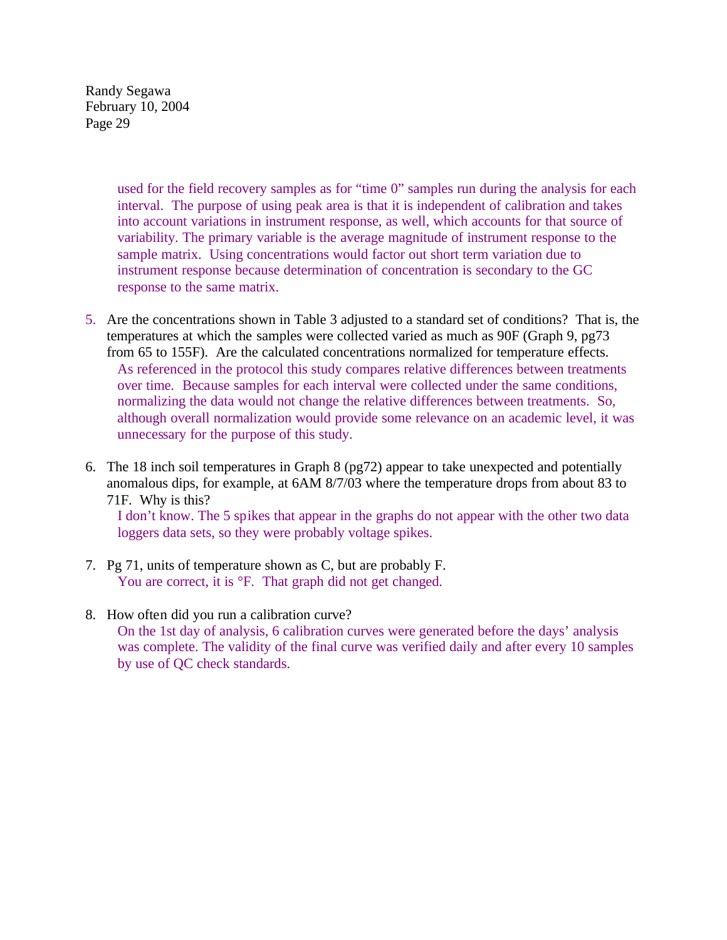> used for the field recovery samples as for "time 0" samples run during the analysis for each interval. The purpose of using peak area is that it is independent of calibration and takes into account variations in instrument response, as well, which accounts for that source of variability. The primary variable is the average magnitude of instrument response to the sample matrix. Using concentrations would factor out short term variation due to instrument response because determination of concentration is secondary to the GC response to the same matrix.

- 5. Are the concentrations shown in Table 3 adjusted to a standard set of conditions? That is, the temperatures at which the samples were collected varied as much as 90F (Graph 9, pg73 from 65 to 155F). Are the calculated concentrations normalized for temperature effects. As referenced in the protocol this study compares relative differences between treatments over time. Because samples for each interval were collected under the same conditions, normalizing the data would not change the relative differences between treatments. So, although overall normalization would provide some relevance on an academic level, it was unnecessary for the purpose of this study.
- 6. The 18 inch soil temperatures in Graph 8 (pg72) appear to take unexpected and potentially anomalous dips, for example, at 6AM 8/7/03 where the temperature drops from about 83 to 71F. Why is this?

I don't know. The 5 spikes that appear in the graphs do not appear with the other two data loggers data sets, so they were probably voltage spikes.

- 7. Pg 71, units of temperature shown as C, but are probably F. You are correct, it is  ${}^{\circ}$ F. That graph did not get changed.
- 8. How often did you run a calibration curve? On the 1st day of analysis, 6 calibration curves were generated before the days' analysis was complete. The validity of the final curve was verified daily and after every 10 samples by use of QC check standards.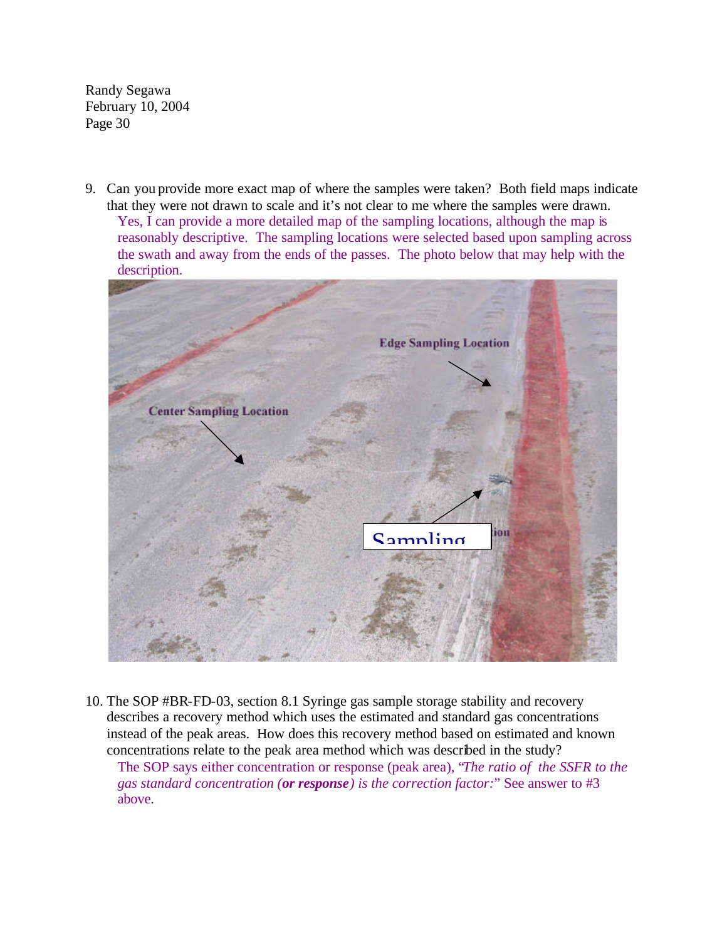9. Can you provide more exact map of where the samples were taken? Both field maps indicate that they were not drawn to scale and it's not clear to me where the samples were drawn. Yes, I can provide a more detailed map of the sampling locations, although the map is reasonably descriptive. The sampling locations were selected based upon sampling across the swath and away from the ends of the passes. The photo below that may help with the description.



10. The SOP #BR-FD-03, section 8.1 Syringe gas sample storage stability and recovery describes a recovery method which uses the estimated and standard gas concentrations instead of the peak areas. How does this recovery method based on estimated and know n concentrations relate to the peak area method which was described in the study?

The SOP says either concentration or response (peak area), "*The ratio of the SSFR to the gas standard concentration (or response) is the correction factor:*" See answer to #3 above.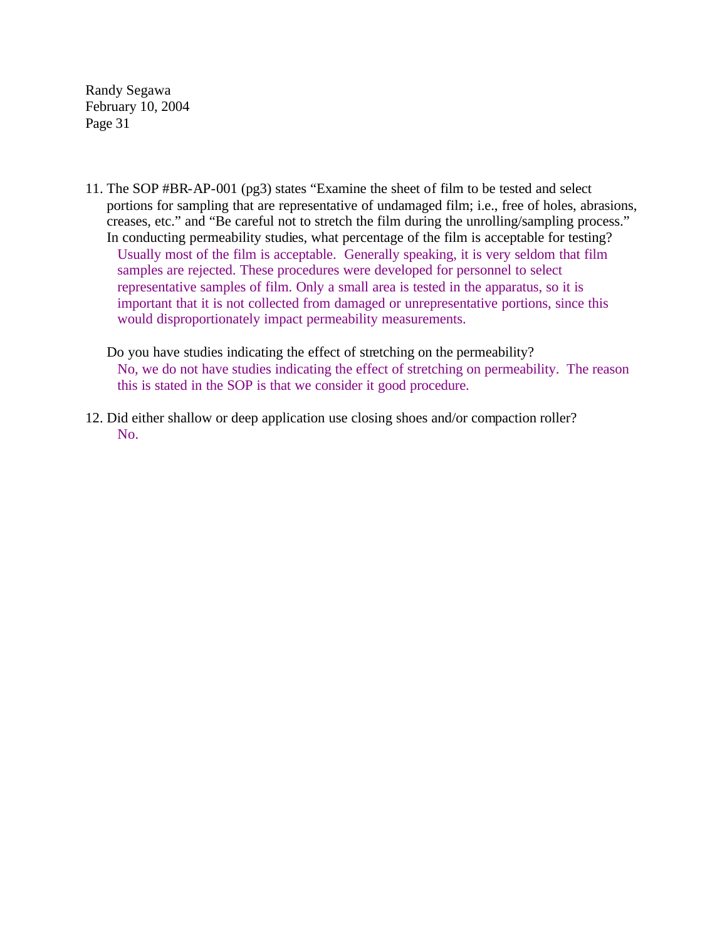- 11. The SOP #BR-AP-001 (pg3) states "Examine the sheet of film to be tested and select portions for sampling that are representative of undamaged film; i.e., free of holes, abrasions, creases, etc." and "Be careful not to stretch the film during the unrolling/sampling process." In conducting permeability studies, what percentage of the film is acceptable for testing? Usually most of the film is acceptable. Generally speaking, it is very seldom that film samples are rejected. These procedures were developed for personnel to select representative samples of film. Only a small area is tested in the apparatus, so it is important that it is not collected from damaged or unrepresentative portions, since this would disproportionately impact permeability measurements.
	- Do you have studies indicating the effect of stretching on the permeability? No, we do not have studies indicating the effect of stretching on permeability. The reason this is stated in the SOP is that we consider it good procedure.
- 12. Did either shallow or deep application use closing shoes and/or compaction roller? No.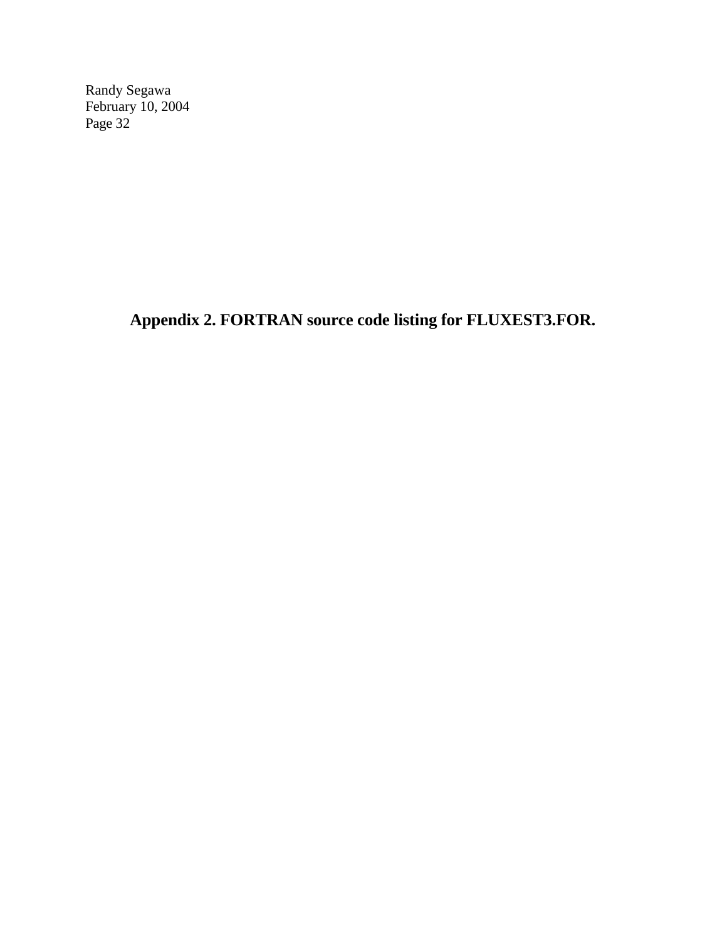**Appendix 2. FORTRAN source code listing for FLUXEST3.FOR.**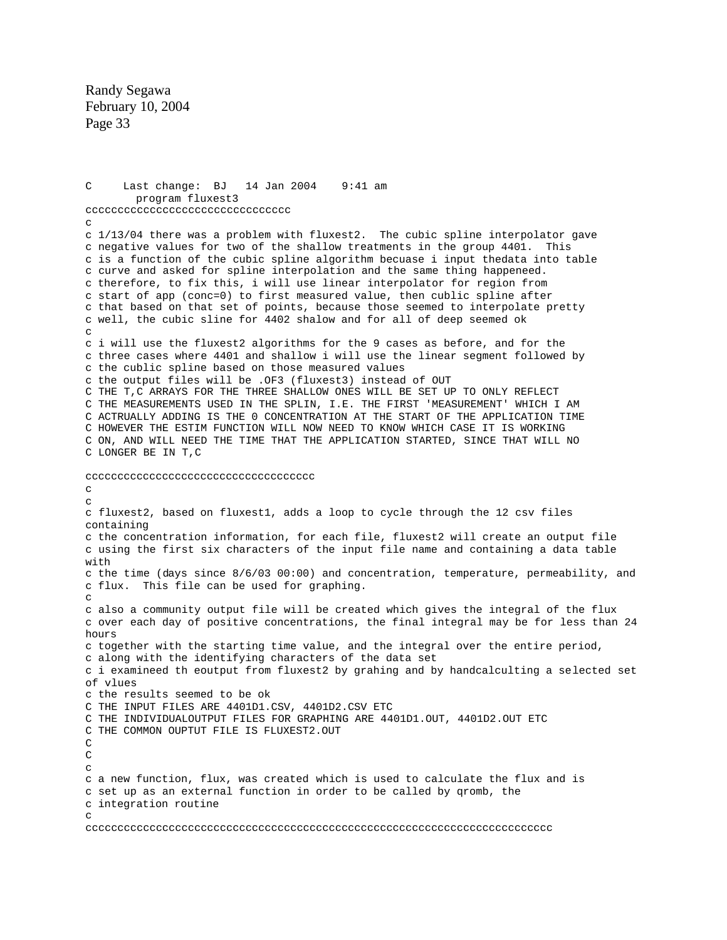C Last change: BJ 14 Jan 2004 9:41 am program fluxest3 cccccccccccccccccccccccccccccccc  $\mathcal{C}$ c 1/13/04 there was a problem with fluxest2. The cubic spline interpolator gav e c negative values for two of the shallow treatments in the group 4401. This c is a function of the cubic spline algorithm becuase i input thedata into table c curve and asked for spline interpolation and the same thing happeneed. c therefore, to fix this, i will use linear interpolator for region from c start of app (conc=0) to first measured value, then cublic spline after c that based on that set of points, because those seemed to interpolate pretty c well, the cubic sline for 4402 shalow and for all of deep seemed ok c i will use the fluxest2 algorithms for the 9 cases as before, and for the c three cases where 4401 and shallow i will use the linear segment followed by c the cublic spline based on those measured values the output files will be .OF3 (fluxest3) instead of OUT c C THE T,C ARRAYS FOR THE THREE SHALLOW ONES WILL BE SET UP TO ONLY REFLECT C THE MEASUREMENTS USED IN THE SPLIN, I.E. THE FIRST 'MEASUREMENT' WHICH I AM C ACTRUALLY ADDING IS THE 0 CONCENTRATION AT THE START OF THE APPLICATION TIME C HOWEVER THE ESTIM FUNCTION WILL NOW NEED TO KNOW WHICH CASE IT IS WORKING C ON, AND WILL NEED THE TIME THAT THE APPLICATION STARTED, SINCE THAT WILL NO LONGER BE IN T,C C c cccccccccccccccccccccccccccccccccccc  $\mathcal{C}$  $\mathcal{C}$ c fluxest2, based on fluxest1, adds a loop to cycle through the 12 csv files containing c the concentration information, for each file, fluxest2 will create an output file c using the first six characters of the input file name and containing a data table with c the time (days since 8/6/03 00:00) and concentration, temperature, permeability, and c flux. This file can be used for graphing. c also a community output file will be created which gives the integral of the flux c over each day of positive concentrations, the final integral may be for less than 24 hours c together with the starting time value, and the integral over the entire period, c along with the identifying characters of the data set c i examineed th eoutput from fluxest2 by grahing and by handcalculting a selected set of vlues c the results seemed to be ok C THE INPUT FILES ARE 4401D1.CSV, 4401D2.CSV ETC C THE INDIVIDUALOUTPUT FILES FOR GRAPHING ARE 4401D1.OUT, 4401D2.OUT ETC THE COMMON OUPTUT FILE IS FLUXEST2.OUT C c a new function, flux, was created which is used to calculate the flux and is c set up as an external function in order to be called by qromb, the integration routine c c C C  $\mathcal{C}$  $\Gamma$ ccccccccccccccccccccccccccccccccccccccccccccccccccccccccccccccccccccccccc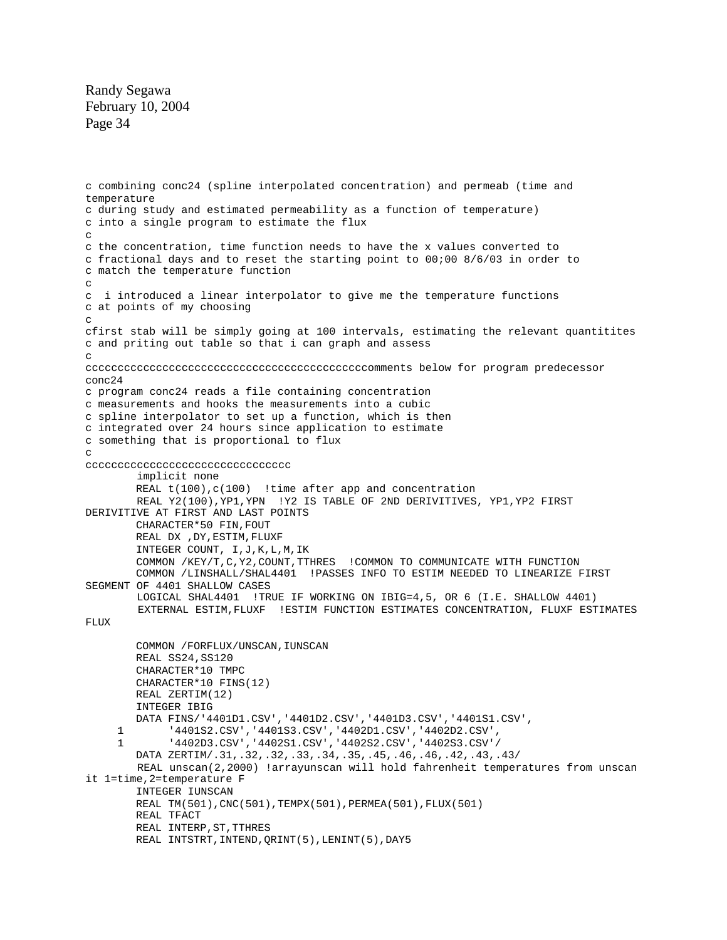implicit none REAL t(100), c(100) !time after app and concentration REAL Y2(100),YP1,YPN !Y2 IS TABLE OF 2ND DERIVITIVES, YP1,YP2 FIRST DERIVITIVE AT FIRST AND LAST POINTS CHARACTER\*50 FIN,FOUT REAL DX ,DY,ESTIM,FLUXF INTEGER COUNT, I,J,K,L,M,IK COMMON /KEY/T,C,Y2,COUNT,TTHRES !COMMON TO COMMUNICATE WITH FUNCTION COMMON /LINSHALL/SHAL4401 !PASSES INFO TO ESTIM NEEDED TO LINEARIZE FIRST SEGMENT OF 4401 SHALLOW CASES LOGICAL SHAL4401 !TRUE IF WORKING ON IBIG=4,5, OR 6 (I.E. SHALLOW 4401) EXTERNAL ESTIM,FLUXF !ESTIM FUNCTION ESTIMATES CONCENTRATION, FLUXF ESTIMATES FLUX COMMON / FORFLUX/UNSCAN, IUNSCAN REAL SS24,SS120 CHARACTER\*10 TMPC CHARACTER\*10 FINS(12) REAL ZERTIM(12) INTEGER IBIG DATA FINS/'4401D1.CSV','4401D2.CSV','4401D3.CSV','4401S1.CSV', 1 '4401S2.CSV','4401S3.CSV','4402D1.CSV','4402D2.CSV', 1 '4402D3.CSV','4402S1.CSV','4402S2.CSV','4402S3.CSV'/ DATA ZERTIM/.31,.32,.32,.33,.34,.35,.45,.46,.46,.42,.43,.43/ REAL unscan(2,2000) !arrayunscan will hold fahrenheit temperatures from unscan it 1=time,2=temperature F INTEGER IUNSCAN REAL TM(501),CNC(501),TEMPX(501),PERMEA(501),FLUX(501) REAL TFACT REAL INTERP,ST,TTHRES REAL INTSTRT, INTEND, QRINT(5), LENINT(5), DAY5 c combining conc24 (spline interpolated concentration) and permeab (time and temperature c during study and estimated permeability as a function of temperature) c into a single program to estimate the flux c the concentration, time function needs to have the x values converted to c fractional days and to reset the starting point to  $00i008/6/03$  in order to c match the temperature function i introduced a linear interpolator to give me the temperature functions c c at points of my choosing cfirst stab will be simply going at 100 intervals, estimating the relevant quantitites c and priting out table so that i can graph and assess comments below for program predecessor ccccccccccccccccccccccccccccccccccccccccccc conc24 c program conc24 reads a file containing concentration measurements and hooks the measurements into a cubic c c spline interpolator to set up a function, which is then c integrated over 24 hours since application to estimate c something that is proportional to flux  $\mathcal{C}$  $\mathcal{C}$  $\mathcal{C}$ c c cccccccccccccccccccccccccccccccc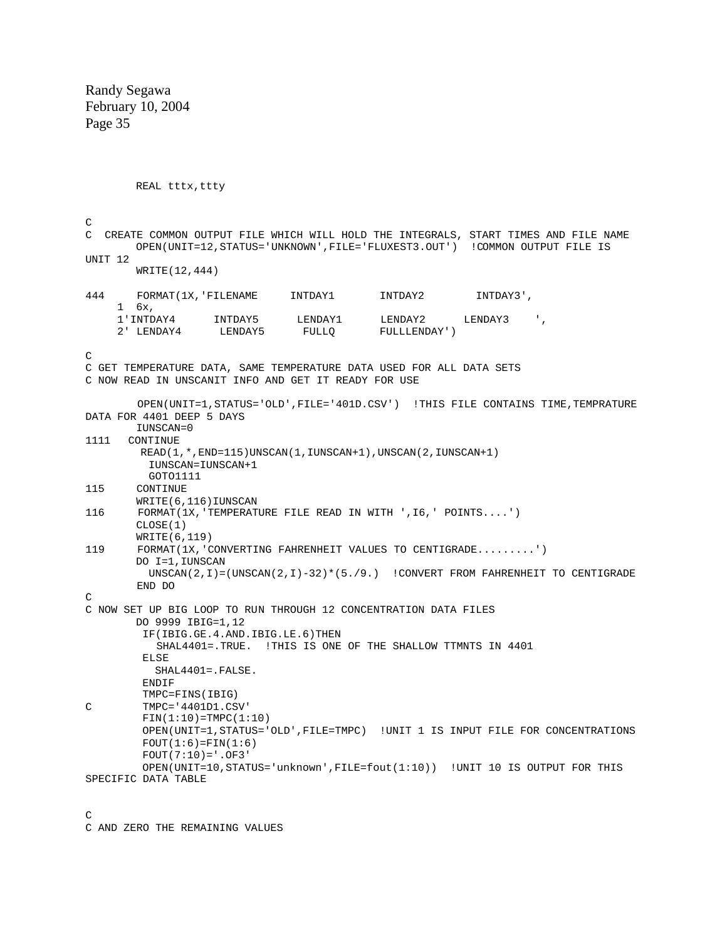REAL tttx, ttty  $\overline{C}$ C CREATE COMMON OUTPUT FILE WHICH WILL HOLD THE INTEGRALS, START TIMES AND FILE NAME OPEN(UNIT=12,STATUS='UNKNOWN',FILE='FLUXEST3.OUT') !COMMON OUTPUT FILE IS UNIT 12 WRITE(12,444) 444 FORMAT(1X,'FILENAME INTDAY1 INTDAY2 INTDAY3', 1 6x, 1'INTDAY4 INTDAY5 LENDAY1 LENDAY2 LENDAY3 ',<br>2' LENDAY4 LENDAY5 FULLQ FULLLENDAY') FULLLENDAY') GET TEMPERATURE DATA, SAME TEMPERATURE DATA USED FOR ALL DATA SETS C C NOW READ IN UNSCANIT INFO AND GET IT READY FOR USE OPEN(UNIT=1,STATUS='OLD',FILE='401D.CSV') !THIS FILE CONTAINS TIME,TEMPRATURE DATA FOR 4401 DEEP 5 DAYS IUNSCAN=0 1111 CONTINUE READ(1,\*,END=115)UNSCAN(1,IUNSCAN+1),UNSCAN(2,IUNSCAN+1) IUNSCAN=IUNSCAN+1 GOTO1111 115 CONTINUE WRITE(6,116)IUNSCAN 116 FORMAT(1X,'TEMPERATURE FILE READ IN WITH ',I6,' POINTS....') CLOSE(1) WRITE(6,119) 119 FORMAT(1X,'CONVERTING FAHRENHEIT VALUES TO CENTIGRADE.........') DO I=1,IUNSCAN UNSCAN(2,I)=(UNSCAN(2,I)-32)\*(5./9.) !CONVERT FROM FAHRENHEIT TO CENTIGRADE END DO C NOW SET UP BIG LOOP TO RUN THROUGH 12 CONCENTRATION DATA FILES DO 9999 IBIG=1,12 IF(IBIG.GE.4.AND.IBIG.LE.6)THEN SHAL4401=.TRUE. !THIS IS ONE OF THE SHALLOW TTMNTS IN 4401 ELSE SHAL4401=.FALSE. ENDIF TMPC=FINS(IBIG) TMPC='4401D1.CSV' FIN(1:10)=TMPC(1:10) OPEN(UNIT=1,STATUS='OLD',FILE=TMPC) !UNIT 1 IS INPUT FILE FOR CONCENTRATIONS  $FOUT(1:6) = FIN(1:6)$  $FOUT(7:10) = '.OF3'$  OPEN(UNIT=10,STATUS='unknown',FILE=fout(1:10)) !UNIT 10 IS OUTPUT FOR THIS SPECIFIC DATA TABLE  $\mathcal{C}$  $\mathcal{C}$ C

 $\overline{C}$ 

C AND ZERO THE REMAINING VALUES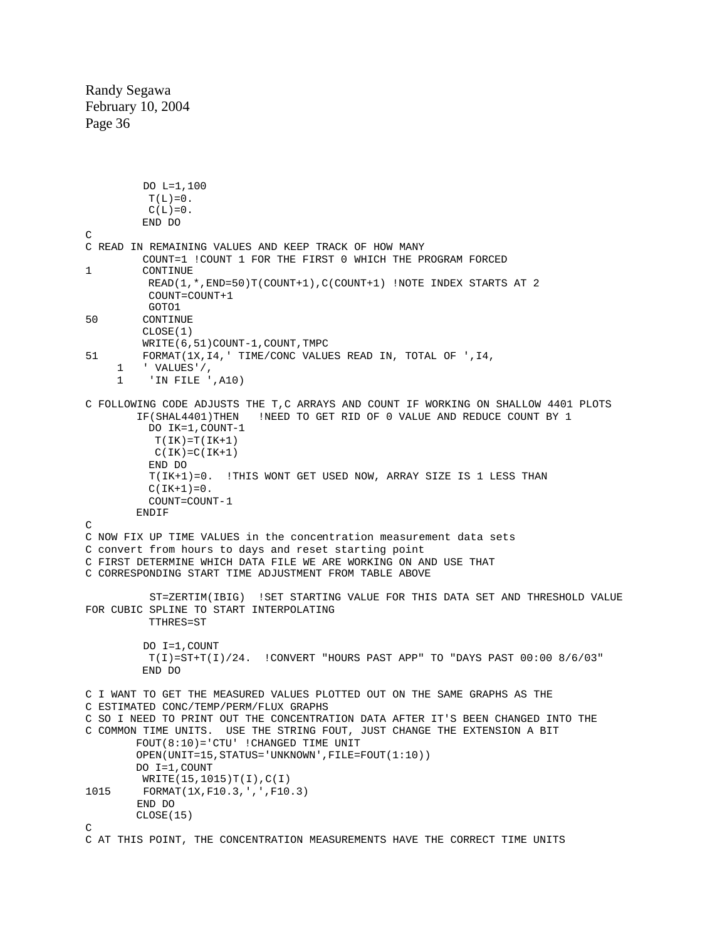```
 DO L=1,100
         T(L)=0.
         C(L)=0.
          END DO 
\overline{C}C READ IN REMAINING VALUES AND KEEP TRACK OF HOW MANY
          COUNT=1 !COUNT 1 FOR THE FIRST 0 WHICH THE PROGRAM FORCED
1 CONTINUE
          READ(1,*,END=50)T(COUNT+1),C(COUNT+1) !NOTE INDEX STARTS AT 2
          COUNT=COUNT+1
 GOTO1
         CONTINUE
          CLOSE(1)
         WRITE(6,51)COUNT-1,COUNT,TMPC
51 FORMAT(1X,I4,' TIME/CONC VALUES READ IN, TOTAL OF ',I4, 
      1 ' VALUES'/,
      1 'IN FILE ',A10) 
C FOLLOWING CODE ADJUSTS THE T,C ARRAYS AND COUNT IF WORKING ON SHALLOW 4401 PLOTS
         IF(SHAL4401)THEN !NEED TO GET RID OF 0 VALUE AND REDUCE COUNT BY 1
           DO IK=1,COUNT-1
          T(IK)=T(IK+1)C(IK)=C(IK+1) END DO
           T(IK+1)=0. !THIS WONT GET USED NOW, ARRAY SIZE IS 1 LESS THAN
          C(IK+1)=0.
           COUNT=COUNT-1
        ENDIF
C 
C NOW FIX UP TIME VALUES in the concentration measurement data sets 
C convert from hours to days and reset starting point 
C FIRST DETERMINE WHICH DATA FILE WE ARE WORKING ON AND USE THAT 
C CORRESPONDING START TIME ADJUSTMENT FROM TABLE ABOVE 
           ST=ZERTIM(IBIG) !SET STARTING VALUE FOR THIS DATA SET AND THRESHOLD VALUE 
FOR CUBIC SPLINE TO START INTERPOLATING
          TTHRES=ST
          DO I=1,COUNT
         T(I)=ST+T(I)/24. !CONVERT "HOURS PAST APP" TO "DAYS PAST 00:00 8/6/03"
          END DO 
C I WANT TO GET THE MEASURED VALUES PLOTTED OUT ON THE SAME GRAPHS AS THE 
C ESTIMATED CONC/TEMP/PERM/FLUX GRAPHS 
C SO I NEED TO PRINT OUT THE CONCENTRATION DATA AFTER IT'S BEEN CHANGED INTO THE 
C COMMON TIME UNITS. USE THE STRING FOUT, JUST CHANGE THE EXTENSION A BIT
         FOUT(8:10)='CTU' !CHANGED TIME UNIT
         OPEN(UNIT=15,STATUS='UNKNOWN',FILE=FOUT(1:10))
        DO I=1,COUNT
        WRITE(15,1015)T(I),C(I)1015 FORMAT(1X,F10.3,',',F10.3) 
         END DO 
         CLOSE(15) 
\overline{C}C AT THIS POINT, THE CONCENTRATION MEASUREMENTS HAVE THE CORRECT TIME UNITS
```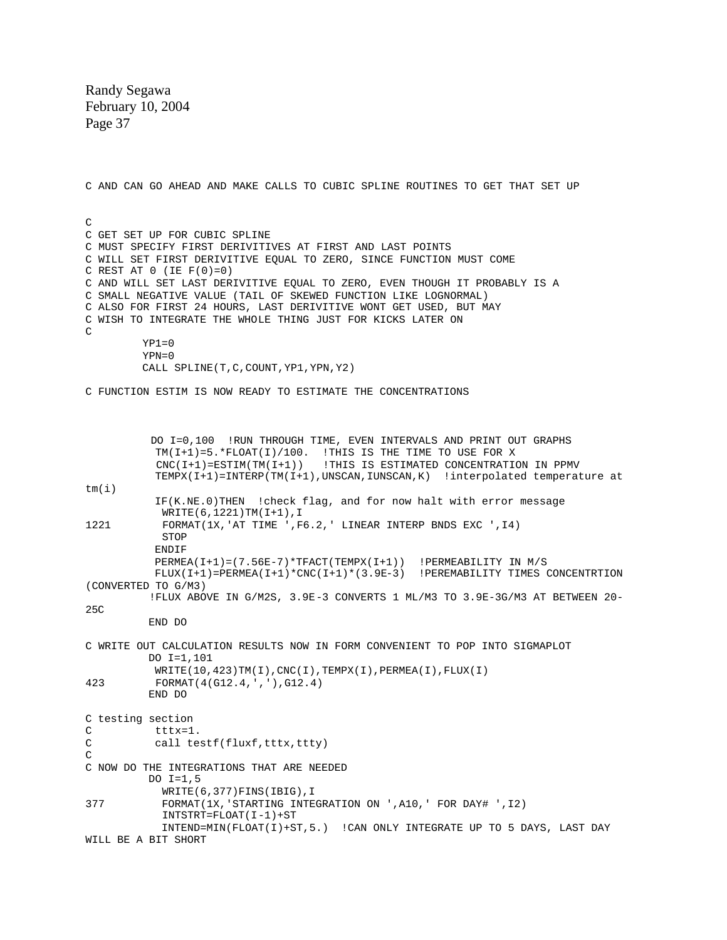$YP1=0$  $YPN = 0$  CALL SPLINE(T,C,COUNT,YP1,YPN,Y2) C FUNCTION ESTIM IS NOW READY TO ESTIMATE THE CONCENTRATIONS DO I=0,100 !RUN THROUGH TIME, EVEN INTERVALS AND PRINT OUT GRAPHS TM(I+1)=5.\*FLOAT(I)/100. !THIS IS THE TIME TO USE FOR X CNC(I+1)=ESTIM(TM(I+1)) !THIS IS ESTIMATED CONCENTRATION IN PPMV TEMPX(I+1)=INTERP(TM(I+1),UNSCAN,IUNSCAN,K) !interpolated temperature at tm(i) IF(K.NE.0)THEN !check flag, and for now halt with error message WRITE(6,1221)TM(I+1),I 1221 FORMAT(1X,'AT TIME ',F6.2,' LINEAR INTERP BNDS EXC ',I4) **STOP ENDIF**  PERMEA(I+1)=(7.56E-7)\*TFACT(TEMPX(I+1)) !PERMEABILITY IN M/S FLUX(I+1)=PERMEA(I+1)\*CNC(I+1)\*(3.9E-3) !PEREMABILITY TIMES CONCENTRTION (CONVERTED TO G/M3) !FLUX ABOVE IN G/M2S, 3.9E-3 CONVERTS 1 ML/M3 TO 3.9E-3G/M3 AT BETWEEN 20- 25C END DO C WRITE OUT CALCULATION RESULTS NOW IN FORM CONVENIENT TO POP INTO SIGMAPLOT DO I=1,101  $WRITE(10,423)TM(I)$ ,  $CNC(I)$ ,  $TEMPX(I)$ ,  $PERMEA(I)$ ,  $FLUX(I)$ 423 FORMAT(4(G12.4,','),G12.4) END DO C testing section<br>C tttx=1 C tttx=1.<br>C call te call testf(fluxf,tttx,ttty)  $\overline{C}$ C NOW DO THE INTEGRATIONS THAT ARE NEEDED DO I=1,5 WRITE(6,377)FINS(IBIG),I 377 FORMAT(1X,'STARTING INTEGRATION ON ',A10,' FOR DAY# ',I2) INTSTRT=FLOAT(I-1)+ST INTEND=MIN(FLOAT(I)+ST,5.) !CAN ONLY INTEGRATE UP TO 5 DAYS, LAST DAY WILL BE A BIT SHORT C AND CAN GO AHEAD AND MAKE CALLS TO CUBIC SPLINE ROUTINES TO GET THAT SET UP  $\overline{C}$ C GET SET UP FOR CUBIC SPLINE MUST SPECIFY FIRST DERIVITIVES AT FIRST AND LAST POINTS C C WILL SET FIRST DERIVITIVE EQUAL TO ZERO, SINCE FUNCTION MUST COME REST AT 0 (IE F(0)=0) C C AND WILL SET LAST DERIVITIVE EQUAL TO ZERO, EVEN THOUGH IT PROBABLY IS A C SMALL NEGATIVE VALUE (TAIL OF SKEWED FUNCTION LIKE LOGNORMAL) C ALSO FOR FIRST 24 HOURS, LAST DERIVITIVE WONT GET USED, BUT MAY C WISH TO INTEGRATE THE WHOLE THING JUST FOR KICKS LATER ON  $\mathcal{C}$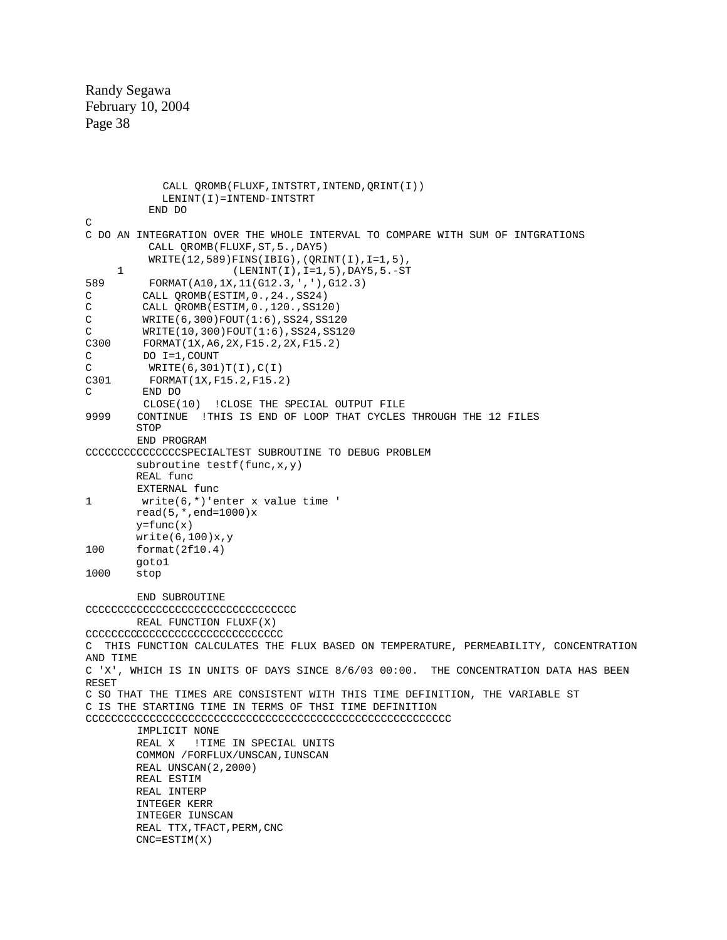```
 CALL QROMB(FLUXF,INTSTRT,INTEND,QRINT(I))
              LENINT(I)=INTEND-INTSTRT
            END DO 
\overline{C}C DO AN INTEGRATION OVER THE WHOLE INTERVAL TO COMPARE WITH SUM OF INTGRATIONS
            CALL QROMB(FLUXF,ST,5.,DAY5)
            WRITE(12,589)FINS(IBIG),(QRINT(I),I=1,5),
      1 (LENINT(I),I=1,5),DAY5,5.-ST 
589 FORMAT(A10,1X,11(G12.3,','),G12.3) 
C CALL QROMB(ESTIM, 0., 24., SS24)<br>C CALL QROMB(ESTIM, 0., 120., SS12
          CALL QROMB(ESTIM, 0., 120., SS120)
C WRITE(6,300)FOUT(1:6),SS24,SS120<br>C WRITE(10,300)FOUT(1:6),SS24,SS12
         C WRITE(10,300)FOUT(1:6),SS24,SS120 
C300 FORMAT(1X,A6,2X,F15.2,2X,F15.2) 
C DO I=1,COUNT<br>C WRITE(6.301
          WRITE(6,301)T(I),C(I)C301 FORMAT(1X, F15.2, F15.2)<br>C END DO
         C END DO
CLOSE(10) !CLOSE THE SPECIAL OUTPUT FILE<br>OP THAT CYCLES UNTINUE !THIS IS END OF LOOP THAT CYCLES
         9999 CONTINUE !THIS IS END OF LOOP THAT CYCLES THROUGH THE 12 FILES
        STOP
         END PROGRAM 
CCCCCCCCCCCCCCCSPECIALTEST SUBROUTINE TO DEBUG PROBLEM
        subroutine testf(func, x, y)
         REAL func
          EXTERNAL func 
1 write(6,*)'enter x value time '
         read(5,*,end=1000)x
         y=func(x)write(6,100)x,y<br>100 format(2f10.4)
        format(2f10.4)goto1<br>1000 stop
        stop
         END SUBROUTINE 
CCCCCCCCCCCCCCCCCCCCCCCCCCCCCCCCC 
         REAL FUNCTION FLUXF(X) 
CCCCCCCCCCCCCCCCCCCCCCCCCCCCCCC 
C THIS FUNCTION CALCULATES THE FLUX BASED ON TEMPERATURE, PERMEABILITY, CONCENTRATION 
AND TIME 
C 'X', WHICH IS IN UNITS OF DAYS SINCE 8/6/03 00:00. THE CONCENTRATION DATA HAS BEEN 
RESET 
C SO THAT THE TIMES ARE CONSISTENT WITH THIS TIME DEFINITION, THE VARIABLE ST 
C IS THE STARTING TIME IN TERMS OF THSI TIME DEFINITION 
CCCCCCCCCCCCCCCCCCCCCCCCCCCCCCCCCCCCCCCCCCCCCCCCCCCCCCCCC
          IMPLICIT NONE
         REAL X !TIME IN SPECIAL UNITS
         COMMON /FORFLUX/UNSCAN,IUNSCAN
         REAL UNSCAN(2,2000)
         REAL ESTIM
         REAL INTERP
         INTEGER KERR
         INTEGER IUNSCAN
        REAL TTX, TFACT, PERM, CNC
         CNC=ESTIM(X)
```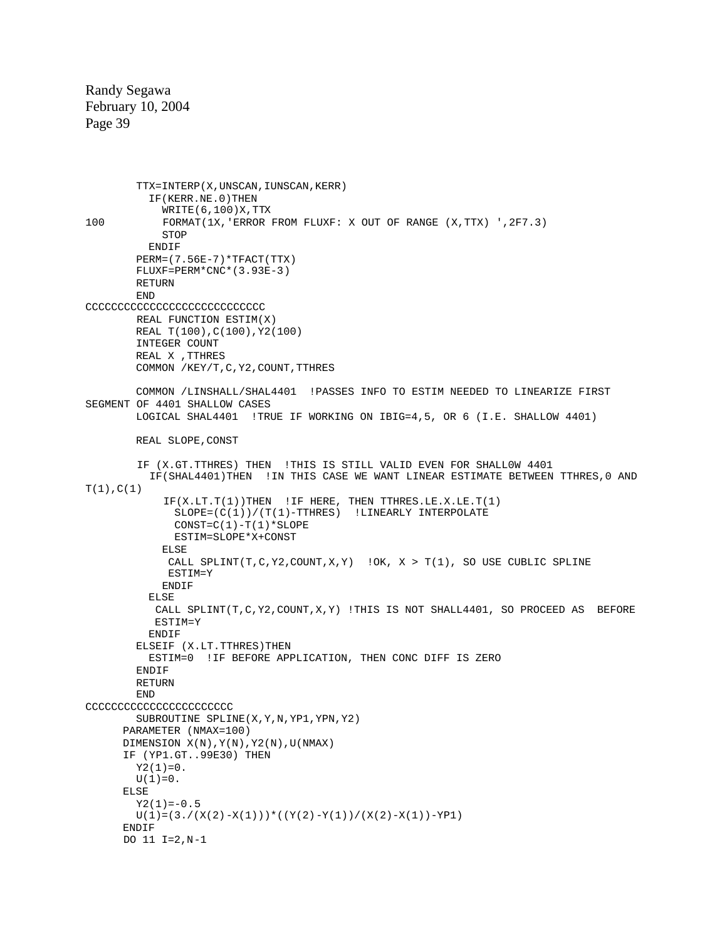```
TTX=INTERP(X,UNSCAN, IUNSCAN, KERR)
           IF(KERR.NE.0)THEN
WRITE(6,100)X,TTX<br>100 FORMAT(1X,'ERROR
            100 FORMAT(1X,'ERROR FROM FLUXF: X OUT OF RANGE (X,TTX) ',2F7.3)
            STOP
           ENDIF
         PERM=(7.56E-7)*TFACT(TTX)
         FLUXF=PERM*CNC*(3.93E-3)
       RETURN
         END 
CCCCCCCCCCCCCCCCCCCCCCCCCCCC
         REAL FUNCTION ESTIM(X)
         REAL T(100),C(100),Y2(100)
         INTEGER COUNT
         REAL X ,TTHRES
         COMMON /KEY/T,C,Y2,COUNT,TTHRES
        COMMON /LINSHALL/SHAL4401 !PASSES INFO TO ESTIM NEEDED TO LINEARIZE FIRST 
SEGMENT OF 4401 SHALLOW CASES 
        LOGICAL SHAL4401 !TRUE IF WORKING ON IBIG=4,5, OR 6 (I.E. SHALLOW 4401)
        REAL SLOPE,CONST
         IF (X.GT.TTHRES) THEN !THIS IS STILL VALID EVEN FOR SHALL0W 4401
           IF(SHAL4401)THEN !IN THIS CASE WE WANT LINEAR ESTIMATE BETWEEN TTHRES,0 AND 
T(1), C(1)IF(X.LT.T(1))THEN !IF HERE, THEN TTHRES.LE.X.LE.T(1)
               SLOPE=(C(1))/(T(1)-TTHRES) !LINEARLY INTERPOLATE
              CONFC(1)-T(1)*SLOPE ESTIM=SLOPE*X+CONST
             ELSE
             CALL SPLINT(T, C, Y2, COUNT, X, Y) ! OK, X > T(1), SO USE CUBLIC SPLINE
             ESTIM=Y
             ENDIF
           ELSE
            CALL SPLINT(T,C,Y2,COUNT,X,Y) !THIS IS NOT SHALL4401, SO PROCEED AS BEFORE
            ESTIM=Y
          ENDIF
         ELSEIF (X.LT.TTHRES)THEN
           ESTIM=0 !IF BEFORE APPLICATION, THEN CONC DIFF IS ZERO
         ENDIF
         RETURN
         END 
CCCCCCCCCCCCCCCCCCCCCCC
         SUBROUTINE SPLINE(X,Y,N,YP1,YPN,Y2)
       PARAMETER (NMAX=100)
      DIMENSION X(N), Y(N), Y2(N), U(NMAX) IF (YP1.GT..99E30) THEN 
        Y2(1)=0.
       U(1)=0.
       ELSE
        Y2(1)=-0.5U(1)=(3./(X(2)-X(1)))*((Y(2)-Y(1))/(X(2)-X(1))-YP1)
       ENDIF 
       DO 11 I=2,N-1
```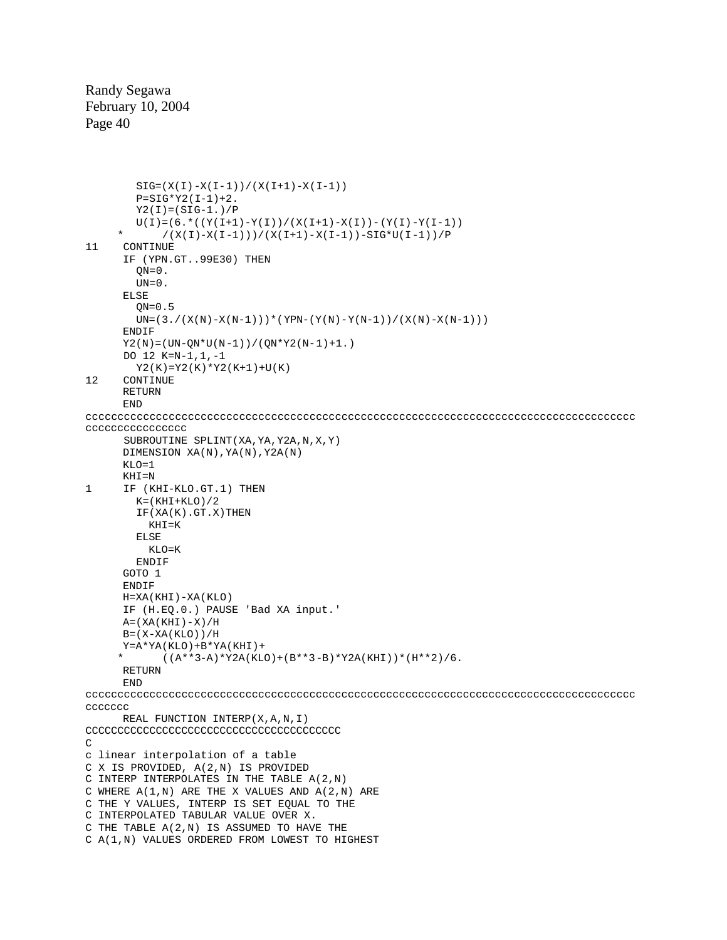```
SIG = (X(I) - X(I-1)) / (X(I+1) - X(I-1))P = SIG*Y2(I-1)+2.Y2(I) = (SIG-1.)/PU(I)=(6.*((Y(I+1)-Y(I))/(X(I+1)-X(I))-(Y(I)-Y(I-1)))* /(X(I)-X(I-1)))/(X(I+1)-X(I-1))-SIG*U(I-1))/P<br>11 CONTINUE
     CONTINUE
       IF (YPN.GT..99E30) THEN
        QN=0.
        UN=0.
       ELSE
        ON=0.5UN=(3./(X(N)-X(N-1)))*(YPN-(Y(N)-Y(N-1))/(X(N)-X(N-1)))
      ENDIF
      YZ(N) = (UN-QN*U(N-1)) / (QN*YZ(N-1)+1.) DO 12 K=N-1,1,-1
        YZ(K)=YZ(K)*YZ(K+1)+U(K)12 CONTINUE 
       RETURN
       END 
cccccccccccccccccccccccccccccccccccccccccccccccccccccccccccccccccccccccccccccccccccccc 
cccccccccccccccc
       SUBROUTINE SPLINT(XA,YA,Y2A,N,X,Y)
       DIMENSION XA(N),YA(N),Y2A(N)
      KT_1O=1 KHI=N 
1 IF (KHI-KLO.GT.1) THEN
        K = (KHT + KLO)/2 IF(XA(K).GT.X)THEN
         KHT=KELSE
         KT_1O=K ENDIF
       GOTO 1 
       ENDIF 
       H=XA(KHI)-XA(KLO)
       IF (H.EQ.0.) PAUSE 'Bad XA input.'
     A = (XA(KHT) - X)/H B=(X-XA(KLO))/H
     Y = A * YA(KLO) + B * YA(KHI) +((A**3-A)*Y2A(KLO)+(B**3-B)*Y2A(KHI))*(H**2)/6. RETURN
       END 
cccccccccccccccccccccccccccccccccccccccccccccccccccccccccccccccccccccccccccccccccccccc 
ccccccc
       REAL FUNCTION INTERP(X,A,N,I) 
CCCCCCCCCCCCCCCCCCCCCCCCCCCCCCCCCCCCCCCC 
\mathcal{C}c linear interpolation of a table
C X IS PROVIDED, A(2,N) IS PROVIDED
C INTERP INTERPOLATES IN THE TABLE A(2,N)
C WHERE A(1,N) ARE THE X VALUES AND A(2,N) ARE
C THE Y VALUES, INTERP IS SET EQUAL TO THE
C INTERPOLATED TABULAR VALUE OVER X. 
C THE TABLE A(2,N) IS ASSUMED TO HAVE THE
```

```
C A(1,N) VALUES ORDERED FROM LOWEST TO HIGHEST
```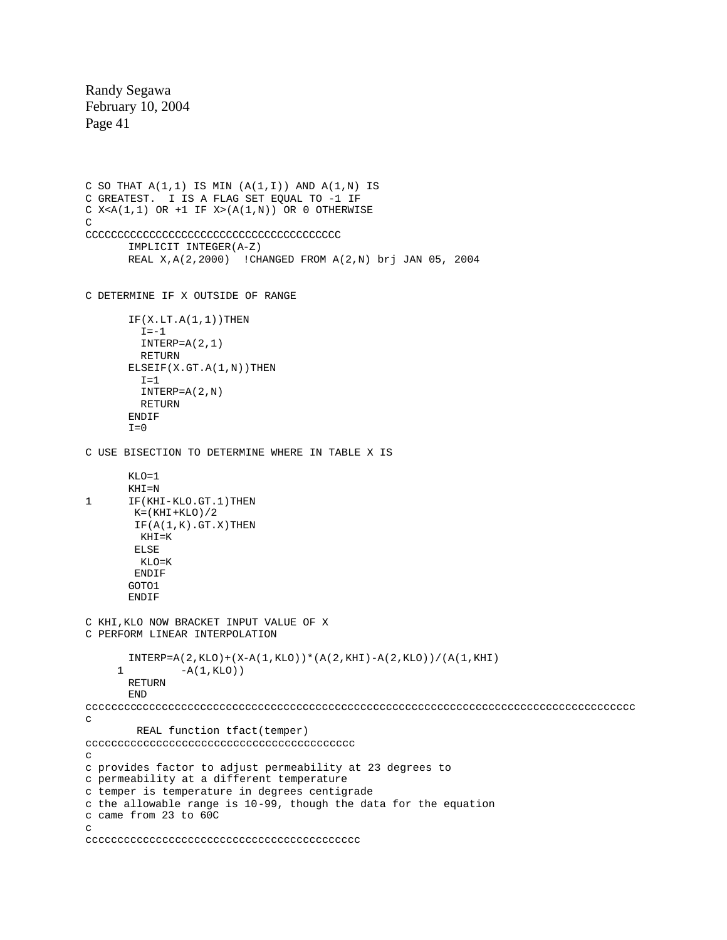```
C SO THAT A(1,1) IS MIN (A(1,1)) AND A(1,N) IS
C GREATEST. I IS A FLAG SET EQUAL TO -1 IF 
C X < A(1,1) OR +1 IF X > (A(1,N)) OR 0 OTHERWISE
\overline{C}CCCCCCCCCCCCCCCCCCCCCCCCCCCCCCCCCCCCCCCC 
       IMPLICIT INTEGER(A-Z) 
       REAL X,A(2,2000) !CHANGED FROM A(2,N) brj JAN 05, 2004 
C DETERMINE IF X OUTSIDE OF RANGE 
       IF(X.LT.A(1,1))THEN
        I=-1 INTERP=A(2,1)
         RETURN 
       ELSEIF(X.GT.A(1,N))THEN
        T=1 INTERP=A(2,N)
         RETURN 
       ENDIF 
       I=0C USE BISECTION TO DETERMINE WHERE IN TABLE X IS 
      KLO=1 
      KHI=N 
1 IF(KHI-KLO.GT.1)THEN
       K = (KHI + KLO) / 2IF(A(1,K) . GT . X) THEN KHI=K
        ELSE
         KLO=K
        ENDIF 
       GOTO1 
      ENDIF
C KHI,KLO NOW BRACKET INPUT VALUE OF X 
C PERFORM LINEAR INTERPOLATION 
       INTERP=A(2,KLO)+(X-A(1,KLO))*(A(2,KHI)-A(2,KLO))/(A(1,KHI)
     1 -A(1, KLO)RETURN 
      END 
cccccccccccccccccccccccccccccccccccccccccccccccccccccccccccccccccccccccccccccccccccccc 
c
         REAL function tfact(temper) 
cccccccccccccccccccccccccccccccccccccccccc 
c 
c provides factor to adjust permeability at 23 degrees to 
c permeability at a different temperature 
c temper is temperature in degrees centigrade 
c the allowable range is 10-99, though the data for the equation 
c came from 23 to 60C 
\mathcal{C}ccccccccccccccccccccccccccccccccccccccccccc
```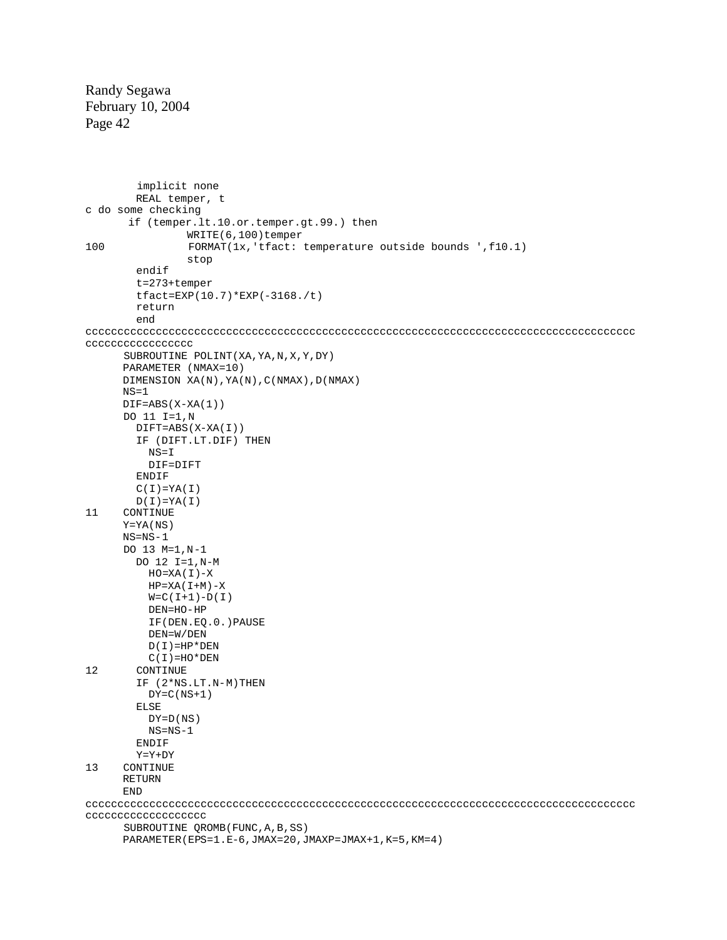```
 implicit none
         REAL temper, t 
c do some checking 
       if (temper.lt.10.or.temper.gt.99.) then
WRITE(6,100)temper<br>100 FORMAT(1x,'tfact:
                 FORMAT(1x, 'tfact: temperature outside bounds ' , f10.1) stop
         endif
         t=273+temper
         tfact=EXP(10.7)*EXP(-3168./t)
         return
         end 
cccccccccccccccccccccccccccccccccccccccccccccccccccccccccccccccccccccccccccccccccccccc 
ccccccccccccccccc
       SUBROUTINE POLINT(XA,YA,N,X,Y,DY)
       PARAMETER (NMAX=10) 
       DIMENSION XA(N),YA(N),C(NMAX),D(NMAX)
      NS=1DIF = ABS(X-XA(1)) DO 11 I=1,N 
         DIFT=ABS(X-XA(I))
         IF (DIFT.LT.DIF) THEN
           NS=I
           DIF=DIFT
         ENDIF
        C(I)=YA(I)D(I)=YA(I)11 CONTINUE 
       Y=YA(NS)
       NS=NS-1
       DO 13 M=1,N-1
         DO 12 I=1,N-M
          HO=XA(T)-XHP=XA(T+M)-XW = C (I + 1) - D (I) DEN=HO-HP
           IF(DEN.EQ.0.)PAUSE
           DEN=W/DEN
          D(I) = HP * DENC(I)=HO*DEN
12 CONTINUE
         IF (2*NS.LT.N-M)THEN
          DY=C(NS+1) ELSE
           DY=D(NS)
          NS=NS-1
         ENDIF
         Y=Y+DY 
13 CONTINUE 
       RETURN
       END 
cccccccccccccccccccccccccccccccccccccccccccccccccccccccccccccccccccccccccccccccccccccc 
ccccccccccccccccccc
       SUBROUTINE QROMB(FUNC,A,B,SS)
       PARAMETER(EPS=1.E-6,JMAX=20,JMAXP=JMAX+1,K=5,KM=4)
```